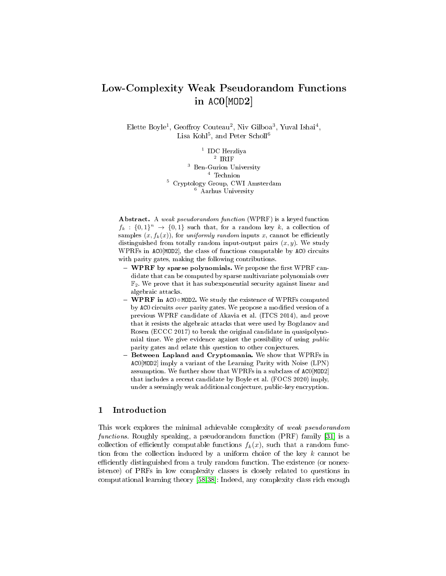# Low-Complexity Weak Pseudorandom Functions in AC0[MOD2]

Elette Boyle<sup>1</sup>, Geoffroy Couteau<sup>2</sup>, Niv Gilboa<sup>3</sup>, Yuval Ishai<sup>4</sup>, Lisa Kohl $^5$ , and Peter Scholl $^6$ 

> $\footnotesize\begin{array}{c} \text{1} \quad \text{IDC} \\ \text{1} \quad \text{1} \quad \text{1} \\ \text{2} \quad \text{IRIF} \end{array}$ <sup>3</sup> Ben-Gurion University <sup>4</sup> Technion <sup>5</sup> Cryptology Group, CWI Amsterdam <sup>6</sup> Aarhus University

Abstract. A weak pseudorandom function (WPRF) is a keyed function  $f_k: \{0,1\}^n \to \{0,1\}$  such that, for a random key k, a collection of samples  $(x, f_k(x))$ , for uniformly random inputs x, cannot be efficiently distinguished from totally random input-output pairs  $(x, y)$ . We study WPRFs in AC0[MOD2], the class of functions computable by AC0 circuits with parity gates, making the following contributions.

- $-$  WPRF by sparse polynomials. We propose the first WPRF candidate that can be computed by sparse multivariate polynomials over  $\mathbb{F}_2$ . We prove that it has subexponential security against linear and algebraic attacks.
- WPRF in AC0 ∘ MOD2. We study the existence of WPRFs computed by AC0 circuits over parity gates. We propose a modified version of a previous WPRF candidate of Akavia et al. (ITCS 2014), and prove that it resists the algebraic attacks that were used by Bogdanov and Rosen (ECCC 2017) to break the original candidate in quasipolynomial time. We give evidence against the possibility of using public parity gates and relate this question to other conjectures.
- Between Lapland and Cryptomania. We show that WPRFs in AC0[MOD2] imply a variant of the Learning Parity with Noise (LPN) assumption. We further show that WPRFs in a subclass of AC0[MOD2] that includes a recent candidate by Boyle et al. (FOCS 2020) imply, under a seemingly weak additional conjecture, public-key encryption.

# 1 Introduction

This work explores the minimal achievable complexity of weak pseudorandom functions. Roughly speaking, a pseudorandom function (PRF) family [\[31\]](#page-27-0) is a collection of efficiently computable functions  $f_k(x)$ , such that a random function from the collection induced by a uniform choice of the key  $k$  cannot be efficiently distinguished from a truly random function. The existence (or nonexistence) of PRFs in low complexity classes is closely related to questions in computational learning theory [\[58,](#page-28-0)[38\]](#page-27-1): Indeed, any complexity class rich enough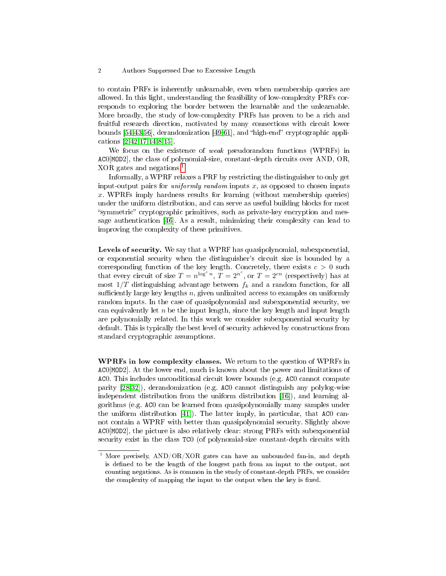to contain PRFs is inherently unlearnable, even when membership queries are allowed. In this light, understanding the feasibility of low-complexity PRFs corresponds to exploring the border between the learnable and the unlearnable. More broadly, the study of low-complexity PRFs has proven to be a rich and fruitful research direction, motivated by many connections with circuit lower bounds  $[54,43,56]$  $[54,43,56]$  $[54,43,56]$ , derandomization  $[49,61]$  $[49,61]$ , and "high-end" cryptographic applications [\[2](#page-26-0)[,42,](#page-28-6)[17,](#page-26-1)[14](#page-26-2)[,8](#page-26-3)[,15\]](#page-26-4).

We focus on the existence of weak pseudorandom functions (WPRFs) in AC0[MOD2], the class of polynomial-size, constant-depth circuits over AND, OR, XOR gates and negations.[1](#page-1-0)

Informally, a WPRF relaxes a PRF by restricting the distinguisher to only get input-output pairs for *uniformly random* inputs  $x$ , as opposed to chosen inputs  $x$ . WPRFs imply hardness results for learning (without membership queries) under the uniform distribution, and can serve as useful building blocks for most "symmetric" cryptographic primitives, such as private-key encryption and message authentication [\[46\]](#page-28-7). As a result, minimizing their complexity can lead to improving the complexity of these primitives.

Levels of security. We say that a WPRF has quasipolynomial, subexponential, or exponential security when the distinguisher's circuit size is bounded by a corresponding function of the key length. Concretely, there exists  $c > 0$  such that every circuit of size  $T = n^{\log^c n}$ ,  $T = 2^{n^c}$ , or  $T = 2^{cn}$  (respectively) has at most  $1/T$  distinguishing advantage between  $f_k$  and a random function, for all sufficiently large key lengths  $n$ , given unlimited access to examples on uniformly random inputs. In the case of quasipolynomial and subexponential security, we can equivalently let  $n$  be the input length, since the key length and input length are polynomially related. In this work we consider subexponential security by default. This is typically the best level of security achieved by constructions from standard cryptographic assumptions.

WPRFs in low complexity classes. We return to the question of WPRFs in AC0[MOD2]. At the lower end, much is known about the power and limitations of AC0. This includes unconditional circuit lower bounds (e.g. AC0 cannot compute parity [\[28](#page-27-2)[,32\]](#page-27-3)), derandomization (e.g. AC0 cannot distinguish any polylog-wise independent distribution from the uniform distribution [\[16\]](#page-26-5)), and learning algorithms (e.g. AC0 can be learned from quasipolynomially many samples under the uniform distribution [\[41\]](#page-27-4)). The latter imply, in particular, that AC0 cannot contain a WPRF with better than quasipolynomial security. Slightly above AC0[MOD2], the picture is also relatively clear: strong PRFs with subexponential security exist in the class TC0 (of polynomial-size constant-depth circuits with

<span id="page-1-0"></span><sup>&</sup>lt;sup>1</sup> More precisely,  $AND/OR/XOR$  gates can have an unbounded fan-in, and depth is defined to be the length of the longest path from an input to the output, not counting negations. As is common in the study of constant-depth PRFs, we consider the complexity of mapping the input to the output when the key is fixed.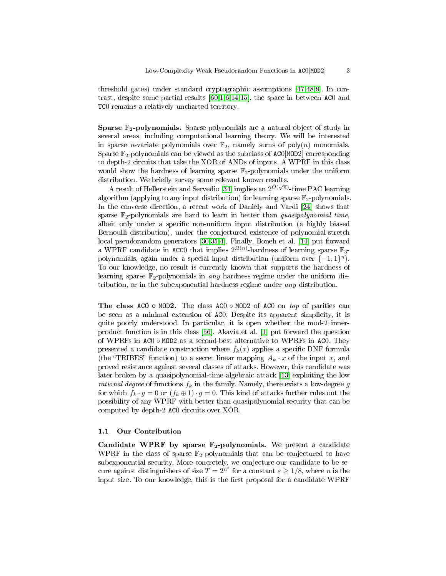threshold gates) under standard cryptographic assumptions [\[47,](#page-28-8)[48,](#page-28-9)[9\]](#page-26-6). In contrast, despite some partial results [\[60](#page-28-10)[,1,](#page-26-7)[6](#page-26-8)[,14](#page-26-2)[,15\]](#page-26-4), the space in between AC0 and TC0 remains a relatively uncharted territory.

Sparse F<sub>2</sub>-polynomials. Sparse polynomials are a natural object of study in several areas, including computational learning theory. We will be interested in sparse *n*-variate polynomials over  $\mathbb{F}_2$ , namely sums of poly $(n)$  monomials. Sparse  $\mathbb{F}_2$ -polynomials can be viewed as the subclass of ACO[MOD2] corresponding to depth-2 circuits that take the XOR of ANDs of inputs. A WPRF in this class would show the hardness of learning sparse  $\mathbb{F}_2$ -polynomials under the uniform distribution. We briefly survey some relevant known results.

A result of Hellerstein and Servedio [\[34\]](#page-27-5) implies an  $2^{\tilde{O}(\sqrt{n})}$ -time PAC learning algorithm (applying to any input distribution) for learning sparse  $\mathbb{F}_2$ -polynomials In the converse direction, a recent work of Daniely and Vardi [\[24\]](#page-27-6) shows that sparse  $\mathbb{F}_2$ -polynomials are hard to learn in better than *quasipolynomial time*. albeit only under a specific non-uniform input distribution (a highly biased Bernoulli distribution), under the conjectured existence of polynomial-stretch local pseudorandom generators [\[30](#page-27-7)[,35](#page-27-8)[,4\]](#page-26-9). Finally, Boneh et al. [\[14\]](#page-26-2) put forward a WPRF candidate in ACC0 that implies  $2^{\Omega(n)}$  hardness of learning sparse  $\mathbb{F}_3$ polynomials, again under a special input distribution (uniform over  $\{-1,1\}^n$ ). To our knowledge, no result is currently known that supports the hardness of learning sparse  $\mathbb{F}_2$ -polynomials in any hardness regime under the uniform distribution, or in the subexponential hardness regime under any distribution.

The class ACO ◦ MOD2. The class ACO ◦ MOD2 of ACO on top of parities can be seen as a minimal extension of AC0. Despite its apparent simplicity, it is quite poorly understood. In particular, it is open whether the mod-2 innerproduct function is in this class [\[56\]](#page-28-3). Akavia et al. [\[1\]](#page-26-7) put forward the question of WPRFs in AC0 ◦ MOD2 as a second-best alternative to WPRFs in AC0. They presented a candidate construction where  $f_k(x)$  applies a specific DNF formula (the "TRIBES" function) to a secret linear mapping  $A_k \cdot x$  of the input x, and proved resistance against several classes of attacks. However, this candidate was later broken by a quasipolynomial-time algebraic attack [\[13\]](#page-26-10) exploiting the low *rational degree* of functions  $f_k$  in the family. Namely, there exists a low-degree g for which  $f_k \cdot g = 0$  or  $(f_k \oplus 1) \cdot g = 0$ . This kind of attacks further rules out the possibility of any WPRF with better than quasipolynomial security that can be computed by depth-2 AC0 circuits over XOR.

### 1.1 Our Contribution

Candidate WPRF by sparse  $\mathbb{F}_2$ -polynomials. We present a candidate WPRF in the class of sparse  $\mathbb{F}_2$ -polynomials that can be conjectured to have subexponential security. More concretely, we conjecture our candidate to be secure against distinguishers of size  $T = 2^{n^{\varepsilon}}$  for a constant  $\varepsilon \geq 1/8$ , where n is the input size. To our knowledge, this is the first proposal for a candidate WPRF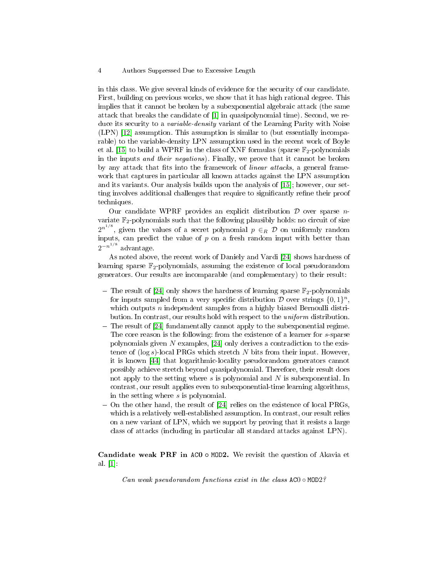in this class. We give several kinds of evidence for the security of our candidate. First, building on previous works, we show that it has high rational degree. This implies that it cannot be broken by a subexponential algebraic attack (the same attack that breaks the candidate of [\[1\]](#page-26-7) in quasipolynomial time). Second, we reduce its security to a *variable-density* variant of the Learning Parity with Noise (LPN) [\[12\]](#page-26-11) assumption. This assumption is similar to (but essentially incomparable) to the variable-density LPN assumption used in the recent work of Boyle et al. [\[15\]](#page-26-4) to build a WPRF in the class of XNF formulas (sparse  $\mathbb{F}_2$ -polynomials in the inputs and their negations). Finally, we prove that it cannot be broken by any attack that fits into the framework of *linear attacks*, a general framework that captures in particular all known attacks against the LPN assumption and its variants. Our analysis builds upon the analysis of [\[15\]](#page-26-4); however, our setting involves additional challenges that require to significantly refine their proof techniques.

Our candidate WPRF provides an explicit distribution  $D$  over sparse nvariate  $\mathbb{F}_2$ -polynomials such that the following plausibly holds: no circuit of size  $2^{n^{1/8}}$ , given the values of a secret polynomial  $p \in_R \mathcal{D}$  on uniformly random inputs, can predict the value of  $p$  on a fresh random input with better than  $2^{-n^{1/8}}$  advantage.

As noted above, the recent work of Daniely and Vardi [\[24\]](#page-27-6) shows hardness of learning sparse  $\mathbb{F}_2$ -polynomials, assuming the existence of local pseudorandom generators. Our results are incomparable (and complementary) to their result:

- The result of [\[24\]](#page-27-6) only shows the hardness of learning sparse  $\mathbb{F}_2$ -polynomials for inputs sampled from a very specific distribution  $D$  over strings  $\{0,1\}^n$ , which outputs  $n$  independent samples from a highly biased Bernoulli distribution. In contrast, our results hold with respect to the uniform distribution.
- $-$  The result of [\[24\]](#page-27-6) fundamentally cannot apply to the subexponential regime. The core reason is the following: from the existence of a learner for s-sparse polynomials given N examples, [\[24\]](#page-27-6) only derives a contradiction to the existence of  $(\log s)$ -local PRGs which stretch N bits from their input. However, it is known [\[44\]](#page-28-11) that logarithmic-locality pseudorandom generators cannot possibly achieve stretch beyond quasipolynomial. Therefore, their result does not apply to the setting where  $s$  is polynomial and  $N$  is subexponential. In contrast, our result applies even to subexponential-time learning algorithms, in the setting where s is polynomial.
- On the other hand, the result of [\[24\]](#page-27-6) relies on the existence of local PRGs, which is a relatively well-established assumption. In contrast, our result relies on a new variant of LPN, which we support by proving that it resists a large class of attacks (including in particular all standard attacks against LPN).

Candidate weak PRF in AC0 ◦ MOD2. We revisit the question of Akavia et al. [\[1\]](#page-26-7):

Can weak pseudorandom functions exist in the class  $ACO \circ MOD2$ ?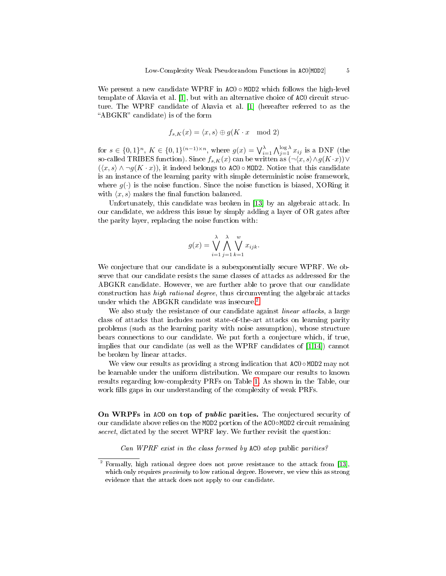We present a new candidate WPRF in  $AC0 \circ MOD2$  which follows the high-level template of Akavia et al. [\[1\]](#page-26-7), but with an alternative choice of AC0 circuit structure. The WPRF candidate of Akavia et al. [\[1\]](#page-26-7) (hereafter referred to as the "ABGKR" candidate) is of the form

$$
f_{s,K}(x) = \langle x, s \rangle \oplus g(K \cdot x \mod 2)
$$

for  $s \in \{0,1\}^n$ ,  $K \in \{0,1\}^{(n-1)\times n}$ , where  $g(x) = \bigvee_{i=1}^{\lambda} \bigwedge_{j=1}^{\log \lambda} x_{ij}$  is a DNF (the so-called TRIBES function). Since  $f_{s,K}(x)$  can be written as  $(\neg \langle x, s \rangle \land g(K \cdot x)) \lor$  $(\langle x, s \rangle \wedge \neg g(K \cdot x))$ , it indeed belongs to AC0 ∘ MOD2. Notice that this candidate is an instance of the learning parity with simple deterministic noise framework, where  $q(\cdot)$  is the noise function. Since the noise function is biased, XORing it with  $\langle x, s \rangle$  makes the final function balanced.

Unfortunately, this candidate was broken in [\[13\]](#page-26-10) by an algebraic attack. In our candidate, we address this issue by simply adding a layer of OR gates after the parity layer, replacing the noise function with:

$$
g(x) = \bigvee_{i=1}^{\lambda} \bigwedge_{j=1}^{\lambda} \bigvee_{k=1}^{w} x_{ijk}.
$$

We conjecture that our candidate is a subexponentially secure WPRF. We observe that our candidate resists the same classes of attacks as addressed for the ABGKR candidate. However, we are further able to prove that our candidate construction has high rational degree, thus circumventing the algebraic attacks under which the ABGKR candidate was insecure.<sup>[2](#page-4-0)</sup>

We also study the resistance of our candidate against *linear attacks*, a large class of attacks that includes most state-of-the-art attacks on learning parity problems (such as the learning parity with noise assumption), whose structure bears connections to our candidate. We put forth a conjecture which, if true, implies that our candidate (as well as the WPRF candidates of [\[1,](#page-26-7)[14\]](#page-26-2)) cannot be broken by linear attacks.

We view our results as providing a strong indication that AC0 ∘MOD2 may not be learnable under the uniform distribution. We compare our results to known results regarding low-complexity PRFs on Table [1.](#page-5-0) As shown in the Table, our work fills gaps in our understanding of the complexity of weak PRFs.

On WRPFs in ACO on top of *public* parities. The conjectured security of our candidate above relies on the MOD2 portion of the AC0◦MOD2 circuit remaining secret, dictated by the secret WPRF key. We further revisit the question:

Can WPRF exist in the class formed by AC0 atop public parities?

<span id="page-4-0"></span><sup>2</sup> Formally, high rational degree does not prove resistance to the attack from [\[13\]](#page-26-10), which only requires *proximity* to low rational degree. However, we view this as strong evidence that the attack does not apply to our candidate.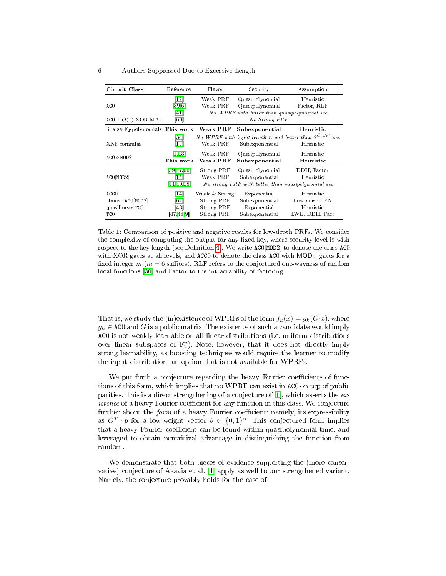<span id="page-5-0"></span>

| Circuit Class                                        | Reference                            | Flavor                                                         | Security                                                                                             | Assumption                                                                      |
|------------------------------------------------------|--------------------------------------|----------------------------------------------------------------|------------------------------------------------------------------------------------------------------|---------------------------------------------------------------------------------|
| ACO<br>$AC0 + O(1)$ XOR, MAJ                         | [12]<br>[39.6]<br>[41]<br>[60]       | Weak PRF<br>Weak PRF                                           | Quasipolynomial<br>Quasipolynomial<br>No WPRF with better than quasipolynomial sec.<br>No Strong PRF | Heuristic<br>Factor, RLF                                                        |
| Sparse $\mathbb{F}_2$ -polynomials This work         |                                      | Weak PRF                                                       | Subexponential                                                                                       | Heuristic                                                                       |
| XNF formulas                                         | [34]<br>[15]                         | Weak PRF                                                       | No WPRF with input length n and better than $2^{\tilde{O}(\sqrt{n})}$<br>Subexponential              | sec.<br>Heuristic                                                               |
| $ACO \circ MOD2$                                     | [1, 13]<br>This work                 | Weak PRF<br>Weak PRF                                           | Quasipolynomial<br>Subexponential                                                                    | Heuristic<br>Heuristic                                                          |
| ACO[MOD2]                                            | [39, 47, 60]<br>[15]<br>[54, 40, 18] | Strong PRF<br>Weak PRF                                         | Quasipolynomial<br>Subexponential                                                                    | DDH, Factor<br>Heuristic<br>No strong PRF with better than quasipolynomial sec. |
| ACCO<br>$almost-ACO[MOD2]$<br>quasilinear-TCO<br>TC0 | [14]<br>[62]<br>[43]<br>[47, 48, 9]  | Weak & Strong<br>Strong PRF<br><b>Strong PRF</b><br>Strong PRF | Exponential<br>Subexponential<br>Exponential<br>Subexponential                                       | Heuristic<br>Low-noise LPN<br>Heuristic<br>LWE, DDH, Fact                       |

Table 1: Comparison of positive and negative results for low-depth PRFs. We consider the complexity of computing the output for any fixed key, where security level is with respect to the key length (see Definition [4\)](#page-9-0). We write  $ACO[MOD2]$  to denote the class  $ACO$ with XOR gates at all levels, and ACC0 to denote the class AC0 with  $MOD_m$  gates for a fixed integer  $m$  ( $m = 6$  suffices). RLF refers to the conjectured one-wayness of random local functions [\[30\]](#page-27-7) and Factor to the intractability of factoring.

That is, we study the (in)existence of WPRFs of the form  $f_k(x) = g_k(G \cdot x)$ , where  $g_k \in \text{AC0}$  and G is a public matrix. The existence of such a candidate would imply AC0 is not weakly learnable on all linear distributions (i.e. uniform distributions over linear subspaces of  $\mathbb{F}_2^n$ ). Note, however, that it does not directly imply strong learnability, as boosting techniques would require the learner to modify the input distribution, an option that is not available for WPRFs.

We put forth a conjecture regarding the heavy Fourier coefficients of functions of this form, which implies that no WPRF can exist in AC0 on top of public parities. This is a direct strengthening of a conjecture of  $[1]$ , which asserts the  $ex$ *istence* of a heavy Fourier coefficient for any function in this class. We conjecture further about the *form* of a heavy Fourier coefficient: namely, its expressibility as  $G^T \cdot b$  for a low-weight vector  $b \in \{0,1\}^n$ . This conjectured form implies that a heavy Fourier coefficient can be found within quasipolynomial time, and leveraged to obtain nontritival advantage in distinguishing the function from random.

We demonstrate that both pieces of evidence supporting the (more conservative) conjecture of Akavia et al. [\[1\]](#page-26-7) apply as well to our strengthened variant. Namely, the conjecture provably holds for the case of: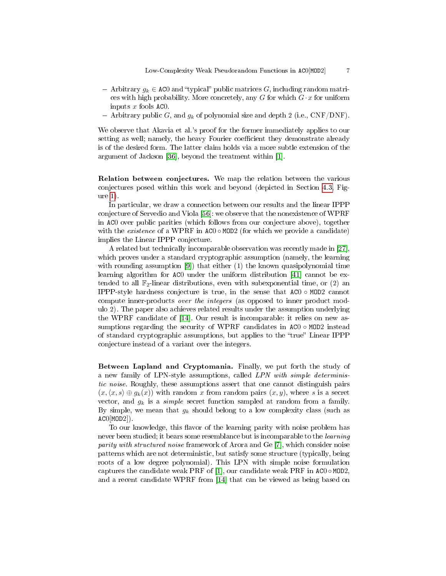- $-$  Arbitrary  $g_k \in AC0$  and "typical" public matrices G, including random matrices with high probability. More concretely, any G for which  $G \cdot x$  for uniform inputs  $x$  fools  $ACO$ .
- Arbitrary public G, and  $g_k$  of polynomial size and depth 2 (i.e., CNF/DNF).

We observe that Akavia et al.'s proof for the former immediately applies to our setting as well; namely, the heavy Fourier coefficient they demonstrate already is of the desired form. The latter claim holds via a more subtle extension of the argument of Jackson [\[36\]](#page-27-11), beyond the treatment within [\[1\]](#page-26-7).

Relation between conjectures. We map the relation between the various conjectures posed within this work and beyond (depicted in Section [4.3,](#page-19-0) Figure [1\)](#page-19-1).

In particular, we draw a connection between our results and the linear IPPP conjecture of Servedio and Viola [\[56\]](#page-28-3): we observe that the nonexistence of WPRF in AC0 over public parities (which follows from our conjecture above), together with the *existence* of a WPRF in  $AC0 \circ MOD2$  (for which we provide a candidate) implies the Linear IPPP conjecture.

A related but technically incomparable observation was recently made in [\[27\]](#page-27-12), which proves under a standard cryptographic assumption (namely, the learning with rounding assumption [\[9\]](#page-26-6)) that either (1) the known quasipolynomial time learning algorithm for AC0 under the uniform distribution [\[41\]](#page-27-4) cannot be extended to all  $\mathbb{F}_2$ -linear distributions, even with subexponential time, or (2) an IPPP-style hardness conjecture is true, in the sense that AC0 ◦ MOD2 cannot compute inner-products over the integers (as opposed to inner product modulo 2). The paper also achieves related results under the assumption underlying the WPRF candidate of [\[14\]](#page-26-2). Our result is incomparable: it relies on new assumptions regarding the security of WPRF candidates in  $AC0 \circ MOD2$  instead of standard cryptographic assumptions, but applies to the "true" Linear IPPP conjecture instead of a variant over the integers.

Between Lapland and Cryptomania. Finally, we put forth the study of a new family of LPN-style assumptions, called LPN with simple deterministic noise. Roughly, these assumptions assert that one cannot distinguish pairs  $(x, \langle x, s \rangle \oplus g_k(x))$  with random x from random pairs  $(x, y)$ , where s is a secret vector, and  $g_k$  is a *simple* secret function sampled at random from a family. By simple, we mean that  $g_k$  should belong to a low complexity class (such as  $AC0$ [MOD $2$ ]).

To our knowledge, this flavor of the learning parity with noise problem has never been studied; it bears some resemblance but is incomparable to the *learning* parity with structured noise framework of Arora and Ge [\[7\]](#page-26-13), which consider noise patterns which are not deterministic, but satisfy some structure (typically, being roots of a low degree polynomial). This LPN with simple noise formulation captures the candidate weak PRF of [\[1\]](#page-26-7), our candidate weak PRF in  $AC0 \circ MOD2$ , and a recent candidate WPRF from [\[14\]](#page-26-2) that can be viewed as being based on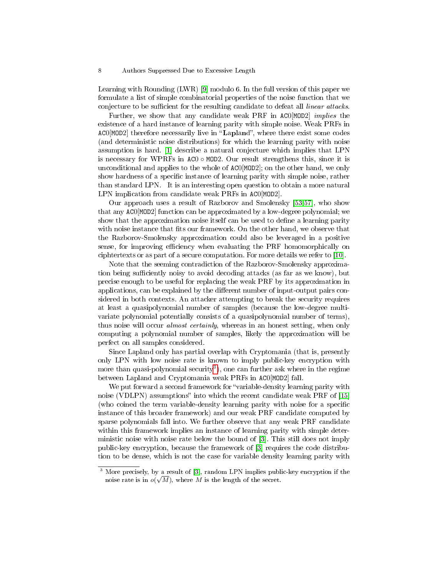Learning with Rounding (LWR) [\[9\]](#page-26-6) modulo 6. In the full version of this paper we formulate a list of simple combinatorial properties of the noise function that we conjecture to be sufficient for the resulting candidate to defeat all *linear attacks*.

Further, we show that any candidate weak PRF in AC0[MOD2] implies the existence of a hard instance of learning parity with simple noise. Weak PRFs in  $AC0$ [MOD2] therefore necessarily live in "Lapland", where there exist some codes (and deterministic noise distributions) for which the learning parity with noise assumption is hard. [\[1\]](#page-26-7) describe a natural conjecture which implies that LPN is necessary for WPRFs in  $AC0 \circ MOD2$ . Our result strengthens this, since it is unconditional and applies to the whole of AC0[MOD2]; on the other hand, we only show hardness of a specific instance of learning parity with simple noise, rather than standard LPN. It is an interesting open question to obtain a more natural LPN implication from candidate weak PRFs in AC0[MOD2].

Our approach uses a result of Razborov and Smolensky [\[53,](#page-28-13)[57\]](#page-28-14), who show that any AC0[MOD2] function can be approximated by a low-degree polynomial; we show that the approximation noise itself can be used to define a learning parity with noise instance that fits our framework. On the other hand, we observe that the Razborov-Smolensky approximation could also be leveraged in a positive sense, for improving efficiency when evaluating the PRF homomorphically on ciphtertexts or as part of a secure computation. For more details we refer to [\[10\]](#page-26-14).

Note that the seeming contradiction of the Razborov-Smolensky approximation being sufficiently noisy to avoid decoding attacks (as far as we know), but precise enough to be useful for replacing the weak PRF by its approximation in applications, can be explained by the different number of input-output pairs considered in both contexts. An attacker attempting to break the security requires at least a quasipolynomial number of samples (because the low-degree multivariate polynomial potentially consists of a quasipolynomial number of terms), thus noise will occur *almost certainly*, whereas in an honest setting, when only computing a polynomial number of samples, likely the approximation will be perfect on all samples considered.

Since Lapland only has partial overlap with Cryptomania (that is, presently only LPN with low noise rate is known to imply public-key encryption with more than quasi-polynomial security<sup>[3](#page-7-0)</sup>), one can further ask where in the regime between Lapland and Cryptomania weak PRFs in AC0[MOD2] fall.

We put forward a second framework for "variable-density learning parity with noise (VDLPN) assumptions" into which the recent candidate weak PRF of [\[15\]](#page-26-4) (who coined the term variable-density learning parity with noise for a specific instance of this broader framework) and our weak PRF candidate computed by sparse polynomials fall into. We further observe that any weak PRF candidate within this framework implies an instance of learning parity with simple deterministic noise with noise rate below the bound of [\[3\]](#page-26-15). This still does not imply public-key encryption, because the framework of [\[3\]](#page-26-15) requires the code distribution to be dense, which is not the case for variable density learning parity with

<span id="page-7-0"></span><sup>&</sup>lt;sup>3</sup> More precisely, by a result of [\[3\]](#page-26-15), random LPN implies public-key encryption if the noise rate is in  $o(\sqrt{M})$ , where M is the length of the secret.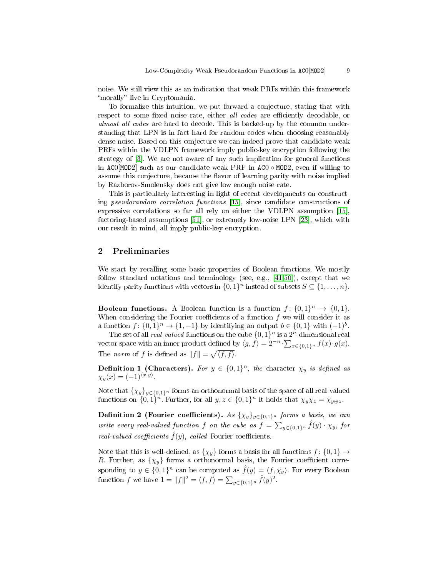noise. We still view this as an indication that weak PRFs within this framework "morally" live in Cryptomania.

To formalize this intuition, we put forward a conjecture, stating that with respect to some fixed noise rate, either all codes are efficiently decodable, or almost all codes are hard to decode. This is backed-up by the common understanding that LPN is in fact hard for random codes when choosing reasonably dense noise. Based on this conjecture we can indeed prove that candidate weak PRFs within the VDLPN framework imply public-key encryption following the strategy of [\[3\]](#page-26-15). We are not aware of any such implication for general functions in AC0[MOD2] such as our candidate weak PRF in AC0 ◦ MOD2, even if willing to assume this conjecture, because the flavor of learning parity with noise implied by Razborov-Smolensky does not give low enough noise rate.

This is particularly interesting in light of recent developments on constructing pseudorandom correlation functions [\[15\]](#page-26-4), since candidate constructions of expressive correlations so far all rely on either the VDLPN assumption [\[15\]](#page-26-4), factoring-based assumptions [\[51\]](#page-28-15), or extremely low-noise LPN [\[23\]](#page-27-13), which with our result in mind, all imply public-key encryption.

# <span id="page-8-0"></span>2 Preliminaries

We start by recalling some basic properties of Boolean functions. We mostly follow standard notations and terminology (see, e.g., [\[41](#page-27-4)[,50\]](#page-28-16)), except that we identify parity functions with vectors in  $\{0,1\}^n$  instead of subsets  $S \subseteq \{1,\ldots,n\}$ .

**Boolean functions.** A Boolean function is a function  $f: \{0,1\}^n \rightarrow \{0,1\}.$ When considering the Fourier coefficients of a function  $f$  we will consider it as a function  $f: \{0,1\}^n \to \{1,-1\}$  by identifying an output  $b \in \{0,1\}$  with  $(-1)^b$ .

The set of all *real-valued* functions on the cube  $\{0,1\}^n$  is a  $2^n$ -dimensional real vector space with an inner product defined by  $\langle g, f \rangle = 2^{-n} \cdot \sum_{x \in \{0,1\}^n} f(x) \cdot g(x)$ . The norm of f is defined as  $||f|| = \sqrt{\langle f, f \rangle}$ .

**Definition 1 (Characters).** For  $y \in \{0,1\}^n$ , the character  $\chi_y$  is defined as  $\chi_y(x) = (-1)^{\langle x, y \rangle}.$ 

Note that  $\{\chi_y\}_{y\in\{0,1\}^n}$  forms an orthonormal basis of the space of all real-valued functions on  $\{0,1\}^n$ . Further, for all  $y, z \in \{0,1\}^n$  it holds that  $\chi_y \chi_z = \chi_{y \oplus z}$ .

Definition 2 (Fourier coefficients). As  $\{\chi_y\}_{y\in\{0,1\}^n}$  forms a basis, we can write every real-valued function f on the cube as  $f = \sum_{y \in \{0,1\}^n} \hat{f}(y) \cdot \chi_y$ , for real-valued coefficients  $\hat{f}(y)$ , called Fourier coefficients.

Note that this is well-defined, as  $\{\chi_y\}$  forms a basis for all functions  $f: \{0,1\} \rightarrow$ R. Further, as  $\{\chi_y\}$  forms a orthonormal basis, the Fourier coefficient corresponding to  $y \in \{0,1\}^n$  can be computed as  $\hat{f}(y) = \langle f, \chi_y \rangle$ . For every Boolean function f we have  $1 = ||f||^2 = \langle f, f \rangle = \sum_{y \in \{0,1\}^n} \hat{f}(y)^2$ .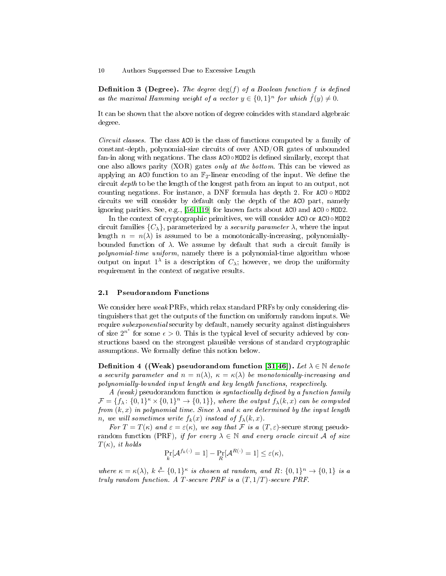**Definition 3 (Degree).** The degree  $\deg(f)$  of a Boolean function f is defined as the maximal Hamming weight of a vector  $y \in \{0,1\}^n$  for which  $\hat{f}(y) \neq 0$ .

It can be shown that the above notion of degree coincides with standard algebraic degree.

Circuit classes. The class AC0 is the class of functions computed by a family of constant-depth, polynomial-size circuits of over AND/OR gates of unbounded fan-in along with negations. The class  $AC0 \circ MOD2$  is defined similarly, except that one also allows parity (XOR) gates only at the bottom. This can be viewed as applying an AC0 function to an  $\mathbb{F}_2$ -linear encoding of the input. We define the circuit depth to be the length of the longest path from an input to an output, not counting negations. For instance, a DNF formula has depth 2. For AC0 ◦ MOD2 circuits we will consider by default only the depth of the AC0 part, namely ignoring parities. See, e.g.,  $[56,1,19]$  $[56,1,19]$  $[56,1,19]$  for known facts about AC0 and AC0  $\circ$  MOD2.

In the context of cryptographic primitives, we will consider  $AC0$  or  $AC0 \circ MOD2$ circuit families  $\{C_{\lambda}\}\$ , parameterized by a *security parameter*  $\lambda$ , where the input length  $n = n(\lambda)$  is assumed to be a monotonically-increasing, polynomiallybounded function of  $\lambda$ . We assume by default that such a circuit family is polynomial-time uniform, namely there is a polynomial-time algorithm whose output on input  $1^{\lambda}$  is a description of  $C_{\lambda}$ ; however, we drop the uniformity requirement in the context of negative results.

# 2.1 Pseudorandom Functions

We consider here weak PRFs, which relax standard PRFs by only considering distinguishers that get the outputs of the function on uniformly random inputs. We require *subexponential* security by default, namely security against distinguishers of size  $2^{n^{\epsilon}}$  for some  $\epsilon > 0$ . This is the typical level of security achieved by constructions based on the strongest plausible versions of standard cryptographic assumptions. We formally define this notion below.

<span id="page-9-0"></span>**Definition 4 ((Weak) pseudorandom function [\[31](#page-27-0)[,46\]](#page-28-7)).** Let  $\lambda \in \mathbb{N}$  denote a security parameter and  $n = n(\lambda)$ ,  $\kappa = \kappa(\lambda)$  be monotonically-increasing and polynomially-bounded input length and key length functions, respectively.

 $A$  (weak) pseudorandom function is syntactically defined by a function family  $\mathcal{F} = \{f_{\lambda}: \{0,1\}^{\kappa} \times \{0,1\}^n \to \{0,1\}\}\,$ , where the output  $f_{\lambda}(k,x)$  can be computed from  $(k, x)$  in polynomial time. Since  $\lambda$  and  $\kappa$  are determined by the input length n, we will sometimes write  $f_k(x)$  instead of  $f_\lambda(k, x)$ .

For  $T = T(\kappa)$  and  $\varepsilon = \varepsilon(\kappa)$ , we say that F is a  $(T, \varepsilon)$ -secure strong pseudorandom function (PRF), if for every  $\lambda \in \mathbb{N}$  and every oracle circuit A of size  $T(\kappa)$ , it holds

$$
\Pr_{k}[\mathcal{A}^{f_k(\cdot)}=1]-\Pr_{R}[\mathcal{A}^{R(\cdot)}=1]\leq \varepsilon(\kappa),
$$

where  $\kappa = \kappa(\lambda)$ ,  $k \stackrel{\$}{\leftarrow} \{0,1\}^{\kappa}$  is chosen at random, and  $R: \{0,1\}^n \rightarrow \{0,1\}$  is a truly random function. A T-secure PRF is a  $(T, 1/T)$ -secure PRF.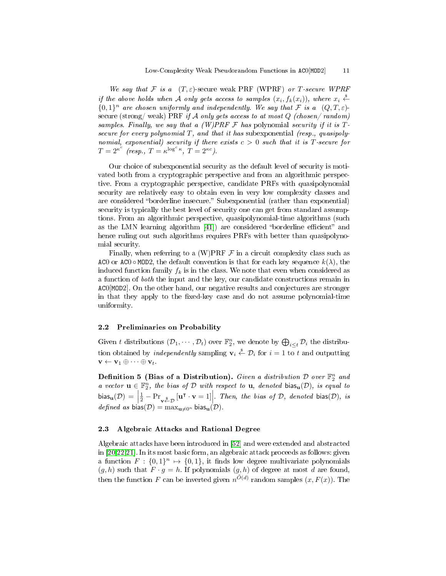We say that F is a  $(T, \varepsilon)$ -secure weak PRF (WPRF) or T-secure WPRF if the above holds when A only gets access to samples  $(x_i, f_k(x_i))$ , where  $x_i \stackrel{\hspace{0.1em}s}{\leftarrow}$  ${0,1}^n$  are chosen uniformly and independently. We say that F is a  $(Q, T, \varepsilon)$ secure (strong/weak) PRF if A only gets access to at most  $Q$  (chosen/random) samples. Finally, we say that a  $(W)PRF \nsubseteq$  has polynomial security if it is Tsecure for every polynomial  $T$ , and that it has subexponential (resp., quasipolynomial, exponential) security if there exists  $c > 0$  such that it is T-secure for  $T = 2^{\kappa^c}$  (resp.,  $T = \kappa^{\log^c \kappa}$ ,  $T = 2^{\kappa c}$ ).

Our choice of subexponential security as the default level of security is motivated both from a cryptographic perspective and from an algorithmic perspective. From a cryptographic perspective, candidate PRFs with quasipolynomial security are relatively easy to obtain even in very low complexity classes and are considered "borderline insecure." Subexponential (rather than exponential) security is typically the best level of security one can get from standard assumptions. From an algorithmic perspective, quasipolynomial-time algorithms (such as the LMN learning algorithm [\[41\]](#page-27-4)) are considered "borderline efficient" and hence ruling out such algorithms requires PRFs with better than quasipolynomial security.

Finally, when referring to a  $(W)$ PRF  $\mathcal F$  in a circuit complexity class such as ACO or ACO  $\circ$  MOD2, the default convention is that for each key sequence  $k(\lambda)$ , the induced function family  $f_k$  is in the class. We note that even when considered as a function of both the input and the key, our candidate constructions remain in AC0[MOD2]. On the other hand, our negative results and conjectures are stronger in that they apply to the fixed-key case and do not assume polynomial-time uniformity.

## 2.2 Preliminaries on Probability

Given t distributions  $(\mathcal{D}_1,\cdots,\mathcal{D}_t)$  over  $\mathbb{F}_2^n$ , we denote by  $\bigoplus_{i\leq t}\mathcal{D}_i$  the distribution obtained by *independently* sampling  $\mathbf{v}_i \stackrel{\hspace{0.1em}\mathsf{\scriptscriptstyle\$}}{\leftarrow} \mathcal{D}_i$  for  $i=1$  to  $t$  and outputting  $\mathbf{v} \leftarrow \mathbf{v}_1 \oplus \cdots \oplus \mathbf{v}_t.$ 

Definition 5 (Bias of a Distribution). Given a distribution D over  $\mathbb{F}_2^n$  and a vector  $\mathbf{u} \in \mathbb{F}_2^n$ , the bias of  $\mathcal D$  with respect to  $\mathbf{u}$ , denoted bias $_{\mathbf{u}}(\mathcal D)$ , is equal to bias $_{\mathbf{u}}(\mathcal{D}) = \begin{bmatrix} 1 & 0 & 0 \\ 0 & 1 & 0 \\ 0 & 0 & 0 \end{bmatrix}$  $\frac{1}{2} - \Pr_{\mathbf{v}\stackrel{\$}{\leftarrow} \mathcal{D}}[\mathbf{u}^\intercal \cdot \mathbf{v} = 1]$ . Then, the bias of  $\mathcal{D}$ , denoted bias( $\mathcal{D}$ ), is *defined as* bias( $\mathcal{D}$ ) = max<sub>u</sub> $\neq$ <sub>0</sub>n bias<sub>u</sub>( $\mathcal{D}$ ).

# 2.3 Algebraic Attacks and Rational Degree

Algebraic attacks have been introduced in [\[52\]](#page-28-17) and were extended and abstracted in [\[20](#page-26-17)[,22,](#page-27-14)[21\]](#page-27-15). In its most basic form, an algebraic attack proceeds as follows: given a function  $F: \{0,1\}^n \mapsto \{0,1\}$ , it finds low degree multivariate polynomials  $(g, h)$  such that  $F \cdot g = h$ . If polynomials  $(g, h)$  of degree at most d are found, then the function F can be inverted given  $n^{\tilde{O}(d)}$  random samples  $(x, F(x))$ . The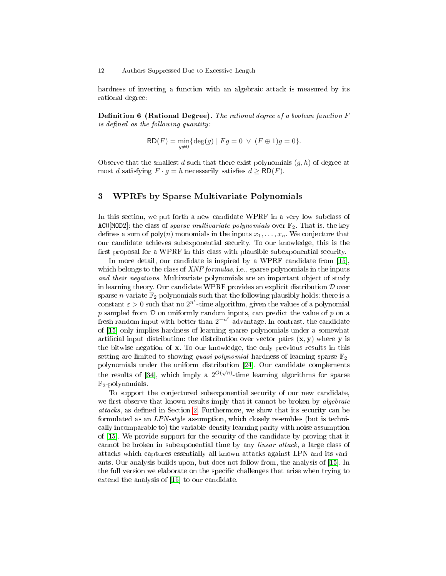hardness of inverting a function with an algebraic attack is measured by its rational degree:

**Definition 6 (Rational Degree).** The rational degree of a boolean function  $F$ is defined as the following quantity:

$$
RD(F) = \min_{g \neq 0} \{ \deg(g) \mid Fg = 0 \ \lor \ (F \oplus 1)g = 0 \}.
$$

Observe that the smallest d such that there exist polynomials  $(q, h)$  of degree at most d satisfying  $F \cdot g = h$  necessarily satisfies  $d \geq \text{RD}(F)$ .

# <span id="page-11-0"></span>3 WPRFs by Sparse Multivariate Polynomials

In this section, we put forth a new candidate WPRF in a very low subclass of ACO[MOD2]: the class of *sparse multivariate polynomials* over  $\mathbb{F}_2$ . That is, the key defines a sum of  $\text{poly}(n)$  monomials in the inputs  $x_1, \ldots, x_n$ . We conjecture that our candidate achieves subexponential security. To our knowledge, this is the first proposal for a WPRF in this class with plausible subexponential security.

In more detail, our candidate is inspired by a WPRF candidate from [\[15\]](#page-26-4), which belongs to the class of XNF formulas, i.e., sparse polynomials in the inputs and their negations. Multivariate polynomials are an important object of study in learning theory. Our candidate WPRF provides an explicit distribution  $D$  over sparse *n*-variate  $\mathbb{F}_2$ -polynomials such that the following plausibly holds: there is a constant  $\varepsilon > 0$  such that no  $2^{n^{\varepsilon}}$ -time algorithm, given the values of a polynomial p sampled from  $\mathcal D$  on uniformly random inputs, can predict the value of p on a fresh random input with better than  $2^{-n^{\varepsilon}}$  advantage. In contrast, the candidate of [\[15\]](#page-26-4) only implies hardness of learning sparse polynomials under a somewhat artificial input distribution: the distribution over vector pairs  $(x, y)$  where y is the bitwise negation of x. To our knowledge, the only previous results in this setting are limited to showing *quasi-polynomial* hardness of learning sparse  $\mathbb{F}_2$ polynomials under the uniform distribution [\[24\]](#page-27-6). Our candidate complements the results of [\[34\]](#page-27-5), which imply a  $2^{\tilde{O}(\sqrt{n})}$ -time learning algorithms for sparse  $\mathbb{F}_2$ -polynomials.

To support the conjectured subexponential security of our new candidate, we first observe that known results imply that it cannot be broken by *algebraic* attacks, as defined in Section [2.](#page-8-0) Furthermore, we show that its security can be formulated as an LPN-style assumption, which closely resembles (but is technically incomparable to) the variable-density learning parity with noise assumption of [\[15\]](#page-26-4). We provide support for the security of the candidate by proving that it cannot be broken in subexponential time by any linear attack, a large class of attacks which captures essentially all known attacks against LPN and its variants. Our analysis builds upon, but does not follow from, the analysis of [\[15\]](#page-26-4). In the full version we elaborate on the specific challenges that arise when trying to extend the analysis of [\[15\]](#page-26-4) to our candidate.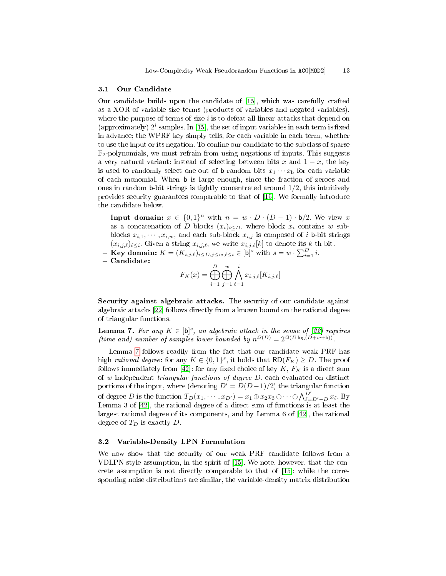#### 3.1 Our Candidate

Our candidate builds upon the candidate of [\[15\]](#page-26-4), which was carefully crafted as a XOR of variable-size terms (products of variables and negated variables), where the purpose of terms of size  $i$  is to defeat all linear attacks that depend on (approximately)  $2^i$  samples. In [\[15\]](#page-26-4), the set of input variables in each term is fixed in advance; the WPRF key simply tells, for each variable in each term, whether to use the input or its negation. To confine our candidate to the subclass of sparse  $\mathbb{F}_2$ -polynomials, we must refrain from using negations of inputs. This suggests a very natural variant: instead of selecting between bits x and  $1 - x$ , the key is used to randomly select one out of **b** random bits  $x_1 \cdots x_b$  for each variable of each monomial. When b is large enough, since the fraction of zeroes and ones in random b-bit strings is tightly concentrated around  $1/2$ , this intuitively provides security guarantees comparable to that of [\[15\]](#page-26-4). We formally introduce the candidate below.

- Input domain:  $x \in \{0,1\}^n$  with  $n = w \cdot D \cdot (D-1) \cdot b/2$ . We view x as a concatenation of D blocks  $(x_i)_{i\leq D}$ , where block  $x_i$  contains w subblocks  $x_{i,1}, \dots, x_{i,w}$ , and each sub-block  $x_{i,j}$  is composed of i b-bit strings  $(x_{i,j,\ell})_{\ell \leq i}$ . Given a string  $x_{i,j,\ell}$ , we write  $x_{i,j,\ell}[k]$  to denote its k-th bit.
- **Key domain:**  $K = (K_{i,j,\ell})_{i \leq D, j \leq w, \ell \leq i} \in [\mathfrak{b}]^s$  with  $s = w \cdot \sum_{i=1}^D i$ .
- Candidate:

$$
F_K(x) = \bigoplus_{i=1}^D \bigoplus_{j=1}^w \bigwedge_{\ell=1}^i x_{i,j,\ell} [K_{i,j,\ell}]
$$

Security against algebraic attacks. The security of our candidate against algebraic attacks [\[22\]](#page-27-14) follows directly from a known bound on the rational degree of triangular functions.

<span id="page-12-0"></span>**Lemma 7.** For any  $K \in [\mathfrak{b}]^s$ , an algebraic attack in the sense of [\[22\]](#page-27-14) requires (time and) number of samples lower bounded by  $n^{\Omega(D)} = 2^{\Omega(D \log(D+w+b))}$ .

Lemma [7](#page-12-0) follows readily from the fact that our candidate weak PRF has high rational degree: for any  $K \in \{0,1\}^s$ , it holds that  $\mathsf{RD}(F_K) \geq D$ . The proof follows immediately from [\[42\]](#page-28-6): for any fixed choice of key  $K, F_K$  is a direct sum of  $w$  independent *triangular functions of degree D*, each evaluated on distinct portions of the input, where (denoting  $D' = D(D-1)/2$ ) the triangular function of degree D is the function  $T_D(x_1, \dots, x_{D'}) = x_1 \oplus x_2 x_3 \oplus \dots \oplus \bigwedge_{\ell=D'-D}^{\bar{D'}} x_{\ell}$ . By Lemma 3 of [\[42\]](#page-28-6), the rational degree of a direct sum of functions is at least the largest rational degree of its components, and by Lemma 6 of [\[42\]](#page-28-6), the rational degree of  $T_D$  is exactly  $D$ .

### 3.2 Variable-Density LPN Formulation

We now show that the security of our weak PRF candidate follows from a VDLPN-style assumption, in the spirit of [\[15\]](#page-26-4). We note, however, that the concrete assumption is not directly comparable to that of [\[15\]](#page-26-4): while the corresponding noise distributions are similar, the variable-density matrix distribution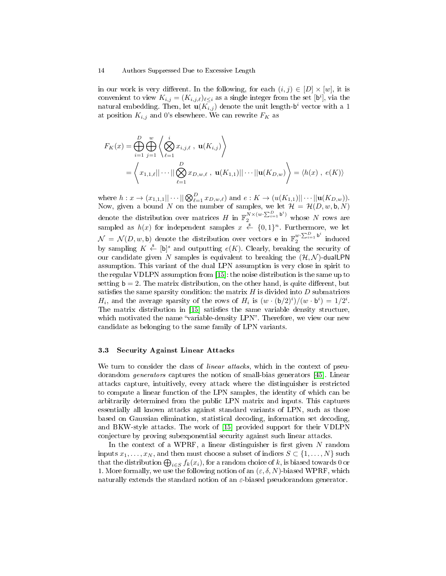in our work is very different. In the following, for each  $(i, j) \in |D| \times |w|$ , it is convenient to view  $K_{i,j} = (K_{i,j,\ell})_{\ell \leq i}$  as a single integer from the set [b<sup>i</sup>], via the natural embedding. Then, let  $\mathbf{u}(K_{i,j})$  denote the unit length- $\mathsf{b}^{i}$  vector with a  $1$ at position  $K_{i,j}$  and 0's elsewhere. We can rewrite  $F_K$  as

$$
F_K(x) = \bigoplus_{i=1}^{D} \bigoplus_{j=1}^{w} \left\langle \bigotimes_{\ell=1}^{i} x_{i,j,\ell} , \mathbf{u}(K_{i,j}) \right\rangle
$$
  
=  $\left\langle x_{1,1,\ell} || \cdots || \bigotimes_{\ell=1}^{D} x_{D,w,\ell} , \mathbf{u}(K_{1,1}) || \cdots || \mathbf{u}(K_{D,w}) \right\rangle = \left\langle h(x) , e(K) \right\rangle$ 

where  $h: x \to (x_{1,1,1}||\cdots||\bigotimes_{\ell=1}^D x_{D,w,\ell})$  and  $e: K \to (u(K_{1,1})||\cdots||\mathbf{u}(K_{D,w}))$ . Now, given a bound N on the number of samples, we let  $\mathcal{H} = \mathcal{H}(D, w, \mathsf{b}, N)$ denote the distribution over matrices H in  $\mathbb{F}_2^{N \times (w \cdot \sum_{i=1}^D b^i)}$  whose N rows are sampled as  $h(x)$  for independent samples  $x \stackrel{\hspace{0.1em}\mathsf{\scriptscriptstyle\$}}{\leftarrow} \{0,1\}^n$ . Furthermore, we let  $\mathcal{N} = \mathcal{N}(D, w, \mathsf{b})$  denote the distribution over vectors **e** in  $\mathbb{F}_2^{w \cdot \sum_{i=1}^{D} \mathsf{b}^i}$  $\sum_{i=1}^{w}$  induced by sampling  $K \stackrel{s}{\leftarrow} [b]^{s}$  and outputting  $e(K)$ . Clearly, breaking the security of our candidate given N samples is equivalent to breaking the  $(\mathcal{H}, \mathcal{N})$ -dualLPN assumption. This variant of the dual LPN assumption is very close in spirit to the regular VDLPN assumption from [\[15\]](#page-26-4): the noise distribution is the same up to setting  $b = 2$ . The matrix distribution, on the other hand, is quite different, but satisfies the same sparsity condition: the matrix  $H$  is divided into  $D$  submatrices  $H_i$ , and the average sparsity of the rows of  $H_i$  is  $(w \cdot (\mathsf{b}/2)^i)/(w \cdot \mathsf{b}^i) = 1/2^i$ . The matrix distribution in [\[15\]](#page-26-4) satisfies the same variable density structure, which motivated the name "variable-density LPN". Therefore, we view our new candidate as belonging to the same family of LPN variants.

# 3.3 Security Against Linear Attacks

We turn to consider the class of *linear attacks*, which in the context of pseudorandom generators captures the notion of small-bias generators [\[45\]](#page-28-18). Linear attacks capture, intuitively, every attack where the distinguisher is restricted to compute a linear function of the LPN samples, the identity of which can be arbitrarily determined from the public LPN matrix and inputs. This captures essentially all known attacks against standard variants of LPN, such as those based on Gaussian elimination, statistical decoding, information set decoding, and BKW-style attacks. The work of [\[15\]](#page-26-4) provided support for their VDLPN conjecture by proving subexponential security against such linear attacks.

In the context of a WPRF, a linear distinguisher is first given  $N$  random inputs  $x_1, \ldots, x_N$ , and then must choose a subset of indices  $S \subset \{1, \ldots, N\}$  such that the distribution  $\bigoplus_{i\in S} f_k(x_i),$  for a random choice of  $k,$  is biased towards  $0$  or 1. More formally, we use the following notion of an  $(\varepsilon, \delta, N)$ -biased WPRF, which naturally extends the standard notion of an  $\varepsilon$ -biased pseudorandom generator.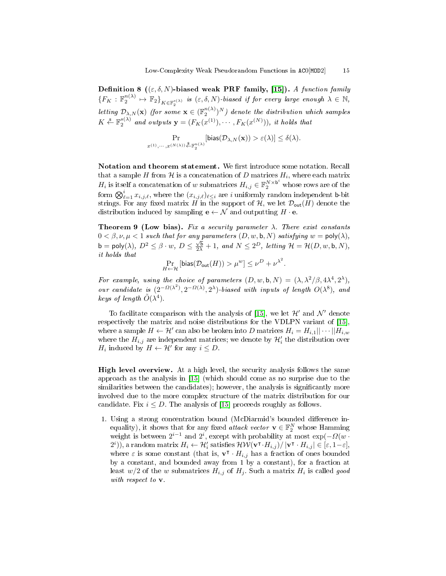Definition 8 (( $\varepsilon$ ,  $\delta$ , N)-biased weak PRF family, [\[15\]](#page-26-4)). A function family  ${F_K: \mathbb{F}_2^n}^{(1)} \mapsto \mathbb{F}_2\}_{K\in \mathbb{F}_2^{s(\lambda)}}$  is  $(\varepsilon, \delta, N)$ -biased if for every large enough  $\lambda \in \mathbb{N}$ , letting  $\mathcal{D}_{\lambda,N}(\mathbf{x})$  (for some  $\mathbf{x} \in (\mathbb{F}_2^{n(\lambda)})^N$ ) denote the distribution which samples  $K \xleftarrow{\$} \mathbb{F}_2^{s(\lambda)}$  and outputs  $\mathbf{y} = (F_K(x^{(1)}), \cdots, F_K(x^{(N)})),$  it holds that

$$
\Pr_{x^{(1)},\cdots,x^{(N(\lambda))}\overset{\$}{\leftarrow}\mathbb{F}_2^{n(\lambda)}}[\text{bias}(\mathcal{D}_{\lambda,N}(\mathbf{x}))>\varepsilon(\lambda)]\leq \delta(\lambda).
$$

Notation and theorem statement. We first introduce some notation. Recall that a sample  $H$  from  ${\mathcal H}$  is a concatenation of  $D$  matrices  $H_i,$  where each matrix  $H_i$  is itself a concatenation of w submatrices  $H_{i,j} \in \mathbb{F}_2^{N \times \mathsf{b}^i}$  whose rows are of the form  $\bigotimes_{\ell=1}^i x_{i,j,\ell},$  where the  $(x_{i,j,\ell})_{\ell\leq i}$  are  $i$  uniformly random independent **b**-bit strings. For any fixed matrix H in the support of H, we let  $\mathcal{D}_{\text{out}}(H)$  denote the distribution induced by sampling  $\mathbf{e} \leftarrow \mathcal{N}$  and outputting  $H \cdot \mathbf{e}$ .

<span id="page-14-0"></span>Theorem 9 (Low bias). Fix a security parameter  $\lambda$ . There exist constants  $0 < \beta, \nu, \mu < 1$  such that for any parameters  $(D, w, \mathsf{b}, N)$  satisfying  $w = \mathsf{poly}(\lambda),$  $\mathsf{b} = \mathsf{poly}(\lambda),\ D^2 \leq \beta \cdot w,\ D \leq \frac{\sqrt{\mathsf{b}}}{2\lambda} + 1,\ and\ N \leq 2^D,\ letting\ \mathcal{H} = \mathcal{H}(D,w,\mathsf{b},N),$ it holds that

$$
\Pr_{H \leftarrow \mathcal{H}}\left[\text{bias}(\mathcal{D}_{\text{out}}(H)) > \mu^w\right] \leq \nu^D + {\nu^{\lambda^2}}.
$$

For example, using the choice of parameters  $(D, w, \mathbf{b}, N) = (\lambda, \lambda^2/\beta, 4\lambda^4, 2^{\lambda}),$ our candidate is  $(2^{-\Omega(\lambda^2)}, 2^{-\Omega(\lambda)}, 2^{\lambda})$ -biased with inputs of length  $O(\lambda^8)$ , and keys of length  $\tilde{O}(\lambda^4)$ .

To facilitate comparison with the analysis of [\[15\]](#page-26-4), we let  $\mathcal{H}'$  and  $\mathcal{N}'$  denote respectively the matrix and noise distributions for the VDLPN variant of [\[15\]](#page-26-4), where a sample  $H \leftarrow \mathcal{H}'$  can also be broken into  $D$  matrices  $H_i = H_{i,1} || \cdots || H_{i,w}$ where the  $H_{i,j}$  are independent matrices; we denote by  $\mathcal{H}'_i$  the distribution over  $H_i$  induced by  $H \leftarrow \mathcal{H}'$  for any  $i \leq D$ .

High level overview. At a high level, the security analysis follows the same approach as the analysis in [\[15\]](#page-26-4) (which should come as no surprise due to the similarities between the candidates); however, the analysis is significantly more involved due to the more complex structure of the matrix distribution for our candidate. Fix  $i \leq D$ . The analysis of [\[15\]](#page-26-4) proceeds roughly as follows.

1. Using a strong concentration bound (McDiarmid's bounded difference inequality), it shows that for any fixed *attack vector*  $\mathbf{v} \in \mathbb{F}_2^N$  whose Hamming weight is between  $2^{i-1}$  and  $2^i$ , except with probability at most  $\exp(-\Omega(w \cdot$  $\mathcal{C}^{i}(\vec{r})$ , a random matrix  $H_{i}\leftarrow \mathcal{H}'_{i}$  satisfies  $\mathcal{HW}(\mathbf{v}^\intercal\cdot H_{i,j})/\left|\mathbf{v}^\intercal\cdot H_{i,j}\right|\in[\varepsilon,1-\varepsilon],$ where  $\varepsilon$  is some constant (that is,  $\mathbf{v}^{\mathsf{T}} \cdot H_{i,j}$  has a fraction of ones bounded by a constant, and bounded away from 1 by a constant), for a fraction at least  $w/2$  of the w submatrices  $H_{i,j}$  of  $H_j$ . Such a matrix  $H_i$  is called good with respect to v.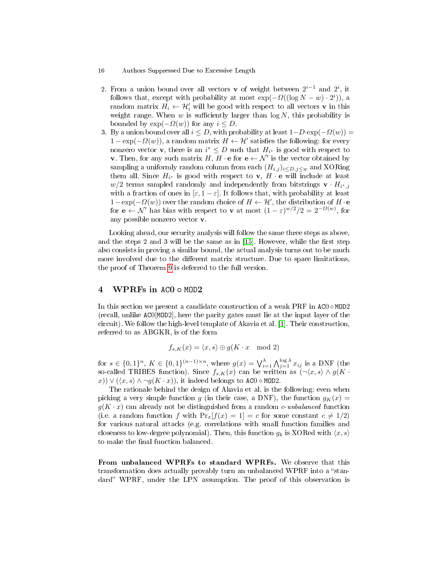- 16 Authors Suppressed Due to Excessive Length
- 2. From a union bound over all vectors **v** of weight between  $2^{i-1}$  and  $2^i$ , it follows that, except with probability at most  $\exp(-\Omega((\log N - w) \cdot 2^{i}))$ , a random matrix  $H_i \leftarrow H_i'$  will be good with respect to all vectors **v** in this weight range. When  $w$  is sufficiently larger than  $log N$ , this probability is bounded by  $\exp(-\Omega(w))$  for any  $i \leq D$ .
- 3. By a union bound over all  $i \leq D$ , with probability at least  $1-D \cdot \exp(-\Omega(w)) =$  $1 - \exp(-\Omega(w))$ , a random matrix  $H \leftarrow H'$  satisfies the following: for every nonzero vector **v**, there is an  $i^* \leq D$  such that  $H_{i^*}$  is good with respect to **v**. Then, for any such matrix H,  $H \cdot e$  for  $e \leftarrow \mathcal{N}'$  is the vector obtained by sampling a uniformly random column from each  $(H_{i,j})_{i\leq D,j\leq w}$  and XORing them all. Since  $H_{i^*}$  is good with respect to  $\mathbf{v}, H \cdot \mathbf{e}$  will include at least  $w/2$  terms sampled randomly and independently from bitstrings  $\mathbf{v} \cdot H_{i^*,j}$ with a fraction of ones in  $[\varepsilon, 1 - \varepsilon]$ . It follows that, with probability at least  $1-\exp(-\Omega(w))$  over the random choice of  $H \leftarrow H'$ , the distribution of  $H \cdot e$ for  $\mathbf{e} \leftarrow \mathcal{N}'$  has bias with respect to **v** at most  $(1 - \varepsilon)^{w/2}/2 = 2^{-\Omega(w)}$ , for any possible nonzero vector v.

Looking ahead, our security analysis will follow the same three steps as above, and the steps 2 and 3 will be the same as in  $[15]$ . However, while the first step also consists in proving a similar bound, the actual analysis turns out to be much more involved due to the different matrix structure. Due to space limitations, the proof of Theorem [9](#page-14-0) is deferred to the full version.

# <span id="page-15-0"></span>4 WPRFs in ACO  $\circ$  MOD2

In this section we present a candidate construction of a weak PRF in  $AC0 \circ MOD2$ (recall, unlike AC0[MOD2], here the parity gates must lie at the input layer of the circuit). We follow the high-level template of Akavia et al. [\[1\]](#page-26-7). Their construction, referred to as ABGKR, is of the form

$$
f_{s,K}(x) = \langle x, s \rangle \oplus g(K \cdot x \mod 2)
$$

for  $s \in \{0,1\}^n$ ,  $K \in \{0,1\}^{(n-1)\times n}$ , where  $g(x) = \bigvee_{i=1}^{\lambda} \bigwedge_{j=1}^{\log \lambda} x_{ij}$  is a DNF (the so-called TRIBES function). Since  $f_{s,K}(x)$  can be written as  $(\neg \langle x, s \rangle \land g(K \cdot$ x))  $\vee$   $(\langle x, s \rangle \wedge \neg g(K \cdot x))$ , it indeed belongs to AC0  $\circ$  MOD2.

The rationale behind the design of Akavia et al. is the following: even when picking a very simple function g (in their case, a DNF), the function  $g_K(x) =$  $g(K \cdot x)$  can already not be distinguished from a random c-unbalanced function (i.e. a random function f with  $Pr_x[f(x) = 1] = c$  for some constant  $c \neq 1/2$ ) for various natural attacks (e.g. correlations with small function families and closeness to low-degree polynomial). Then, this function  $g_k$  is XORed with  $\langle x, s \rangle$ to make the final function balanced.

From unbalanced WPRFs to standard WPRFs. We observe that this transformation does actually provably turn an unbalanced WPRF into a "standard" WPRF, under the LPN assumption. The proof of this observation is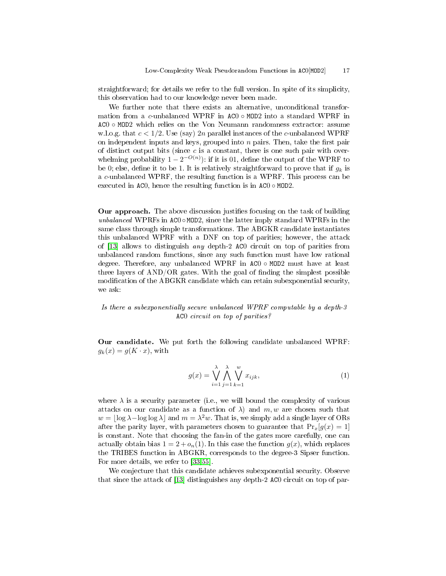straightforward; for details we refer to the full version. In spite of its simplicity, this observation had to our knowledge never been made.

We further note that there exists an alternative, unconditional transformation from a c-unbalanced WPRF in AC0 ◦ MOD2 into a standard WPRF in AC0 ◦ MOD2 which relies on the Von Neumann randomness extractor: assume w.l.o.g. that  $c < 1/2$ . Use (say) 2n parallel instances of the c-unbalanced WPRF on independent inputs and keys, grouped into  $n$  pairs. Then, take the first pair of distinct output bits (since  $c$  is a constant, there is one such pair with overwhelming probability  $1 - 2^{-O(n)}$ ): if it is 01, define the output of the WPRF to be 0; else, define it to be 1. It is relatively straightforward to prove that if  $g_k$  is a c-unbalanced WPRF, the resulting function is a WPRF. This process can be executed in ACO, hence the resulting function is in  $AC0 \circ MOD2$ .

Our approach. The above discussion justifies focusing on the task of building unbalanced WPRFs in  $AC0 \circ MOD2$ , since the latter imply standard WPRFs in the same class through simple transformations. The ABGKR candidate instantiates this unbalanced WPRF with a DNF on top of parities; however, the attack of [\[13\]](#page-26-10) allows to distinguish any depth-2 AC0 circuit on top of parities from unbalanced random functions, since any such function must have low rational degree. Therefore, any unbalanced WPRF in AC0 ◦ MOD2 must have at least three layers of  $AND/OR$  gates. With the goal of finding the simplest possible modification of the ABGKR candidate which can retain subexponential security, we ask:

# Is there a subexponentially secure unbalanced WPRF computable by a depth-3 AC0 circuit on top of parities?

Our candidate. We put forth the following candidate unbalanced WPRF:  $g_k(x) = g(K \cdot x)$ , with

<span id="page-16-0"></span>
$$
g(x) = \bigvee_{i=1}^{\lambda} \bigwedge_{j=1}^{\lambda} \bigvee_{k=1}^{w} x_{ijk},
$$
\n(1)

where  $\lambda$  is a security parameter (i.e., we will bound the complexity of various attacks on our candidate as a function of  $\lambda$ ) and  $m, w$  are chosen such that  $w = |\log \lambda - \log \log \lambda|$  and  $m = \lambda^2 w$ . That is, we simply add a single layer of ORs after the parity layer, with parameters chosen to guarantee that  $Pr_x[g(x) = 1]$ is constant. Note that choosing the fan-in of the gates more carefully, one can actually obtain bias  $1 = 2 + o_n(1)$ . In this case the function  $g(x)$ , which replaces the TRIBES function in ABGKR, corresponds to the degree-3 Sipser function. For more details, we refer to [\[33,](#page-27-16)[55\]](#page-28-19).

We conjecture that this candidate achieves subexponential security. Observe that since the attack of [\[13\]](#page-26-10) distinguishes any depth-2 AC0 circuit on top of par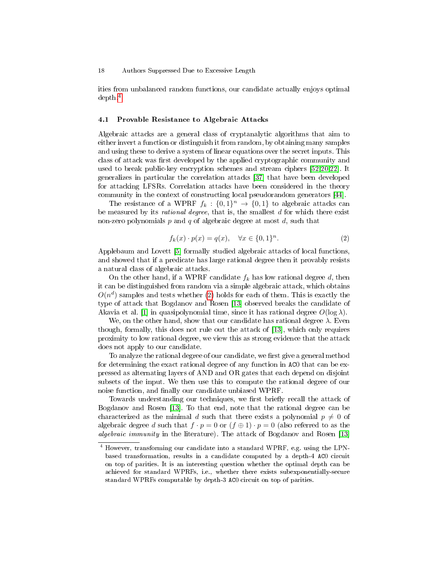ities from unbalanced random functions, our candidate actually enjoys optimal depth.[4](#page-17-0)

## 4.1 Provable Resistance to Algebraic Attacks

Algebraic attacks are a general class of cryptanalytic algorithms that aim to either invert a function or distinguish it from random, by obtaining many samples and using these to derive a system of linear equations over the secret inputs. This class of attack was first developed by the applied cryptographic community and used to break public-key encryption schemes and stream ciphers [\[52,](#page-28-17)[20,](#page-26-17)[22\]](#page-27-14). It generalizes in particular the correlation attacks [\[37\]](#page-27-17) that have been developed for attacking LFSRs. Correlation attacks have been considered in the theory community in the context of constructing local pseudorandom generators [\[44\]](#page-28-11).

The resistance of a WPRF  $f_k: \{0,1\}^n \to \{0,1\}$  to algebraic attacks can be measured by its *rational degree*, that is, the smallest  $d$  for which there exist non-zero polynomials p and q of algebraic degree at most  $d$ , such that

<span id="page-17-1"></span>
$$
f_k(x) \cdot p(x) = q(x), \quad \forall x \in \{0, 1\}^n.
$$
 (2)

Applebaum and Lovett [\[5\]](#page-26-18) formally studied algebraic attacks of local functions, and showed that if a predicate has large rational degree then it provably resists a natural class of algebraic attacks.

On the other hand, if a WPRF candidate  $f_k$  has low rational degree d, then it can be distinguished from random via a simple algebraic attack, which obtains  $O(n^d)$  samples and tests whether [\(2\)](#page-17-1) holds for each of them. This is exactly the type of attack that Bogdanov and Rosen [\[13\]](#page-26-10) observed breaks the candidate of Akavia et al. [\[1\]](#page-26-7) in quasipolynomial time, since it has rational degree  $O(\log \lambda)$ .

We, on the other hand, show that our candidate has rational degree  $\lambda$ . Even though, formally, this does not rule out the attack of [\[13\]](#page-26-10), which only requires proximity to low rational degree, we view this as strong evidence that the attack does not apply to our candidate.

To analyze the rational degree of our candidate, we first give a general method for determining the exact rational degree of any function in AC0 that can be expressed as alternating layers of AND and OR gates that each depend on disjoint subsets of the input. We then use this to compute the rational degree of our noise function, and finally our candidate unbiased WPRF.

Towards understanding our techniques, we first briefly recall the attack of Bogdanov and Rosen [\[13\]](#page-26-10). To that end, note that the rational degree can be characterized as the minimal d such that there exists a polynomial  $p \neq 0$  of algebraic degree d such that  $f \cdot p = 0$  or  $(f \oplus 1) \cdot p = 0$  (also referred to as the algebraic immunity in the literature). The attack of Bogdanov and Rosen [\[13\]](#page-26-10)

<span id="page-17-0"></span><sup>4</sup> However, transforming our candidate into a standard WPRF, e.g. using the LPNbased transformation, results in a candidate computed by a depth-4 AC0 circuit on top of parities. It is an interesting question whether the optimal depth can be achieved for standard WPRFs, i.e., whether there exists subexponentially-secure standard WPRFs computable by depth-3 AC0 circuit on top of parities.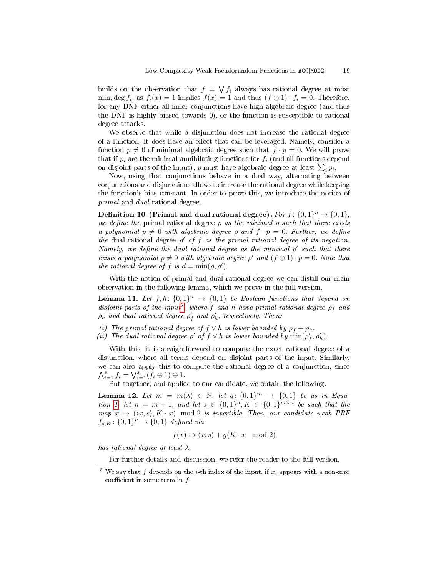builds on the observation that  $f = \bigvee f_i$  always has rational degree at most  $\min_i \deg f_i$ , as  $f_i(x) = 1$  implies  $f(x) = 1$  and thus  $(f \oplus 1) \cdot f_i = 0$ . Therefore, for any DNF either all inner conjunctions have high algebraic degree (and thus the DNF is highly biased towards 0), or the function is susceptible to rational degree attacks.

We observe that while a disjunction does not increase the rational degree of a function, it does have an effect that can be leveraged. Namely, consider a function  $p \neq 0$  of minimal algebraic degree such that  $f \cdot p = 0$ . We will prove that if  $p_i$  are the minimal annihilating functions for  $f_i$  (and all functions depend on disjoint parts of the input),  $p$  must have algebraic degree at least  $\sum_i p_i$ .

Now, using that conjunctions behave in a dual way, alternating between conjunctions and disjunctions allows to increase the rational degree while keeping the function's bias constant. In order to prove this, we introduce the notion of primal and dual rational degree.

Definition 10 (Primal and dual rational degree). For  $f: \{0,1\}^n \rightarrow \{0,1\}$ , we define the primal rational degree  $\rho$  as the minimal  $\rho$  such that there exists a polynomial  $p \neq 0$  with algebraic degree  $\rho$  and  $f \cdot p = 0$ . Further, we define the dual rational degree  $\rho'$  of f as the primal rational degree of its negation. Namely, we define the dual rational degree as the minimal  $\rho'$  such that there exists a polynomial  $p \neq 0$  with algebraic degree  $\rho'$  and  $(f \oplus 1) \cdot p = 0$ . Note that the rational degree of f is  $d = \min(\rho, \rho')$ .

With the notion of primal and dual rational degree we can distill our main observation in the following lemma, which we prove in the full version.

**Lemma 11.** Let  $f, h: \{0, 1\}^n \rightarrow \{0, 1\}$  be Boolean functions that depend on disjoint parts of the input<sup>[5](#page-18-0)</sup>, where f and h have primal rational degree  $\rho_f$  and  $\rho_h$  and dual rational degree  $\rho'_f$  and  $\rho'_h$ , respectively. Then:

- (i) The primal rational degree of  $f \vee h$  is lower bounded by  $\rho_f + \rho_h$ .
- (ii) The dual rational degree  $\rho'$  of  $f \vee h$  is lower bounded by  $\min(\rho'_{f}, \rho'_{h})$ .

With this, it is straightforward to compute the exact rational degree of a disjunction, where all terms depend on disjoint parts of the input. Similarly, we can also apply this to compute the rational degree of a conjunction, since  $\bigwedge_{i=1}^{s} f_i = \bigvee_{i=1}^{s} (f_i \oplus 1) \oplus 1.$ 

Put together, and applied to our candidate, we obtain the following.

**Lemma 12.** Let  $m = m(\lambda) \in \mathbb{N}$ , let  $g: \{0,1\}^m \rightarrow \{0,1\}$  be as in Equa-tion [1,](#page-16-0) let  $n = m + 1$ , and let  $s \in \{0,1\}^n, K \in \{0,1\}^{m \times n}$  be such that the map  $x \mapsto (\langle x, s \rangle, K \cdot x) \mod 2$  is invertible. Then, our candidate weak PRF  $f_{s,K} \colon \{0,1\}^n \to \{0,1\}$  defined via

$$
f(x) \mapsto \langle x, s \rangle + g(K \cdot x \mod 2)
$$

has rational degree at least  $\lambda$ .

For further details and discussion, we refer the reader to the full version.

<span id="page-18-0"></span><sup>&</sup>lt;sup>5</sup> We say that f depends on the *i*-th index of the input, if  $x_i$  appears with a non-zero coefficient in some term in  $f$ .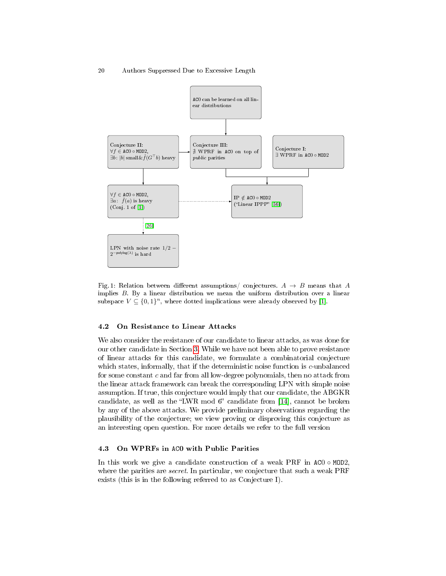<span id="page-19-1"></span>

Fig. 1: Relation between different assumptions/ conjectures.  $A \rightarrow B$  means that A implies B. By a linear distribution we mean the uniform distribution over a linear subspace  $V \subseteq \{0,1\}^n$ , where dotted implications were already observed by [\[1\]](#page-26-7).

# 4.2 On Resistance to Linear Attacks

We also consider the resistance of our candidate to linear attacks, as was done for our other candidate in Section [3.](#page-11-0) While we have not been able to prove resistance of linear attacks for this candidate, we formulate a combinatorial conjecture which states, informally, that if the deterministic noise function is c-unbalanced for some constant  $c$  and far from all low-degree polynomials, then no attack from the linear attack framework can break the corresponding LPN with simple noise assumption. If true, this conjecture would imply that our candidate, the ABGKR candidate, as well as the "LWR mod  $6$ " candidate from [\[14\]](#page-26-2), cannot be broken by any of the above attacks. We provide preliminary observations regarding the plausibility of the conjecture; we view proving or disproving this conjecture as an interesting open question. For more details we refer to the full version

## <span id="page-19-0"></span>4.3 On WPRFs in AC0 with Public Parities

In this work we give a candidate construction of a weak PRF in  $AC0 \circ MOD2$ . where the parities are *secret*. In particular, we conjecture that such a weak PRF exists (this is in the following referred to as Conjecture I).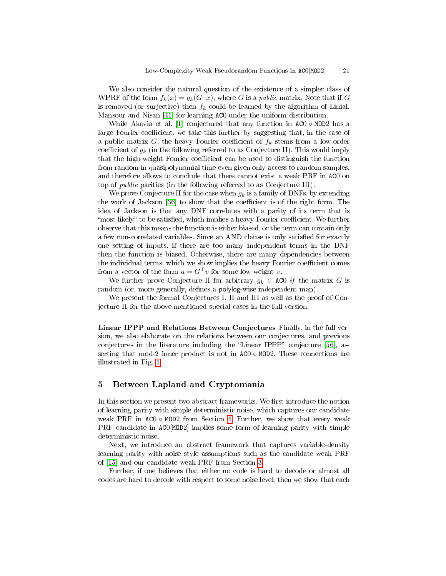We also consider the natural question of the existence of a simpler class of WPRF of the form  $f_k(x) = g_k(G \cdot x)$ , where G is a *public* matrix. Note that if G is removed (or surjective) then  $f_k$  could be learned by the algorithm of Linial, Mansour and Nisan [\[41\]](#page-27-4) for learning AC0 under the uniform distribution.

While Akavia et al. [\[1\]](#page-26-7) conjectured that any function in  $AC0 \circ MOD2$  has a large Fourier coefficient, we take this further by suggesting that, in the case of a public matrix G, the heavy Fourier coefficient of  $f_k$  stems from a low-order coefficient of  $g_k$  (in the following referred to as Conjecture II). This would imply that the high-weight Fourier coefficient can be used to distinguish the function from random in quasipolynomial time even given only access to random samples, and therefore allows to conclude that there cannot exist a weak PRF in AC0 on top of public parities (in the following referred to as Conjecture III).

We prove Conjecture II for the case when  $q_k$  is a family of DNFs, by extending the work of Jackson [\[36\]](#page-27-11) to show that the coefficient is of the right form. The idea of Jackson is that any DNF correlates with a parity of its term that is "most likely" to be satisfied, which implies a heavy Fourier coefficient. We further observe that this means the function is either biased, or the term can contain only a few non-correlated variables. Since an AND clause is only satisfied for exactly one setting of inputs, if there are too many independent terms in the DNF then the function is biased. Otherwise, there are many dependencies between the individual terms, which we show implies the heavy Fourier coefficient comes from a vector of the form  $a = G^{\top}v$  for some low-weight v.

We further prove Conjecture II for arbitrary  $g_k \in \text{AC0}$  if the matrix G is random (or, more generally, defines a **polylog-wise** independent map).

We present the formal Conjectures I, II and III as well as the proof of Conjecture II for the above mentioned special cases in the full version.

Linear IPPP and Relations Between Conjectures Finally, in the full version, we also elaborate on the relations between our conjectures, and previous conjectures in the literature including the "Linear IPPP" conjecture  $[56]$ , asserting that mod-2 inner product is not in  $AC0 \circ MOD2$ . These connections are illustrated in Fig. [1.](#page-19-1)

# 5 Between Lapland and Cryptomania

In this section we present two abstract frameworks. We first introduce the notion of learning parity with simple deterministic noise, which captures our candidate weak PRF in  $AC0 \circ MOD2$  from Section [4.](#page-15-0) Further, we show that every weak PRF candidate in AC0[MOD2] implies some form of learning parity with simple deterministic noise.

Next, we introduce an abstract framework that captures variable-density learning parity with noise style assumptions such as the candidate weak PRF of [\[15\]](#page-26-4) and our candidate weak PRF from Section [3.](#page-11-0)

Further, if one believes that either no code is hard to decode or almost all codes are hard to decode with respect to some noise level, then we show that each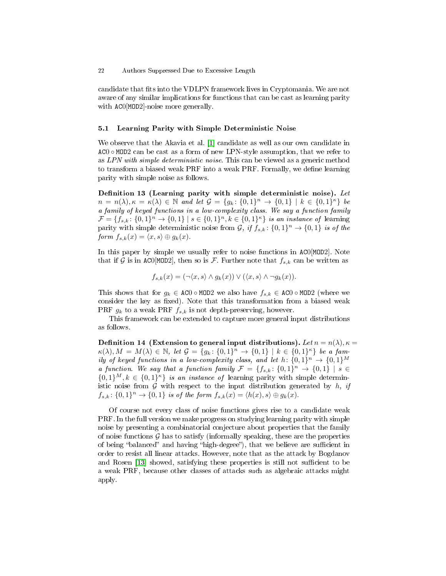candidate that fits into the VDLPN framework lives in Cryptomania. We are not aware of any similar implications for functions that can be cast as learning parity with AC0[MOD2]-noise more generally.

## 5.1 Learning Parity with Simple Deterministic Noise

We observe that the Akavia et al. [\[1\]](#page-26-7) candidate as well as our own candidate in  $AC0 \circ MOD2$  can be cast as a form of new LPN-style assumption, that we refer to as LPN with simple deterministic noise. This can be viewed as a generic method to transform a biased weak PRF into a weak PRF. Formally, we define learning parity with simple noise as follows.

Definition 13 (Learning parity with simple deterministic noise). Let  $n = n(\lambda), \kappa = \kappa(\lambda) \in \mathbb{N}$  and let  $\mathcal{G} = \{g_k : \{0,1\}^n \to \{0,1\} \mid k \in \{0,1\}^{\kappa}\}\$  be a family of keyed functions in a low-complexity class. We say a function family  $\mathcal{F} = \{f_{s,k}: \{0,1\}^n \to \{0,1\} \mid s \in \{0,1\}^n, k \in \{0,1\}^{\kappa} \}$  is an instance of learning parity with simple deterministic noise from  $\mathcal{G}$ , if  $f_{s,k}$ :  $\{0,1\}^n \to \{0,1\}$  is of the form  $f_{s,k}(x) = \langle x, s \rangle \oplus g_k(x)$ .

In this paper by simple we usually refer to noise functions in AC0[MOD2]. Note that if G is in ACO[MOD2], then so is F. Further note that  $f_{s,k}$  can be written as

$$
f_{s,k}(x) = (\neg \langle x, s \rangle \land g_k(x)) \lor (\langle x, s \rangle \land \neg g_k(x)).
$$

This shows that for  $g_k \in \text{AC0} \circ \text{MOD2}$  we also have  $f_{s,k} \in \text{AC0} \circ \text{MOD2}$  (where we consider the key as fixed). Note that this transformation from a biased weak PRF  $g_k$  to a weak PRF  $f_{s,k}$  is not depth-preserving, however.

This framework can be extended to capture more general input distributions as follows.

Definition 14 (Extension to general input distributions). Let  $n = n(\lambda), \kappa =$  $\kappa(\lambda), M = M(\lambda) \in \mathbb{N}, \text{ let } \mathcal{G} = \{g_k : \{0,1\}^n \to \{0,1\} \mid k \in \{0,1\}^{\kappa}\}\text{ be a } \text{ fam}.$ ily of keyed functions in a low-complexity class, and let  $h \colon \{0,1\}^n \to \{0,1\}^M$ a function. We say that a function family  $\mathcal{F} = \{f_{s,k}: \{0,1\}^n \to \{0,1\} \mid s \in$  $\{0,1\}^M, k \in \{0,1\}^{\kappa}\}\$ is an instance of learning parity with simple deterministic noise from  $G$  with respect to the input distribution generated by  $h$ , if  $f_{s,k} \colon \{0,1\}^n \to \{0,1\}$  is of the form  $f_{s,k}(x) = \langle h(x), s \rangle \oplus g_k(x)$ .

Of course not every class of noise functions gives rise to a candidate weak PRF. In the full version we make progress on studying learning parity with simple noise by presenting a combinatorial conjecture about properties that the family of noise functions  $G$  has to satisfy (informally speaking, these are the properties of being "balanced" and having "high-degree"), that we believe are sufficient in order to resist all linear attacks. However, note that as the attack by Bogdanov and Rosen [\[13\]](#page-26-10) showed, satisfying these properties is still not sufficient to be a weak PRF, because other classes of attacks such as algebraic attacks might apply.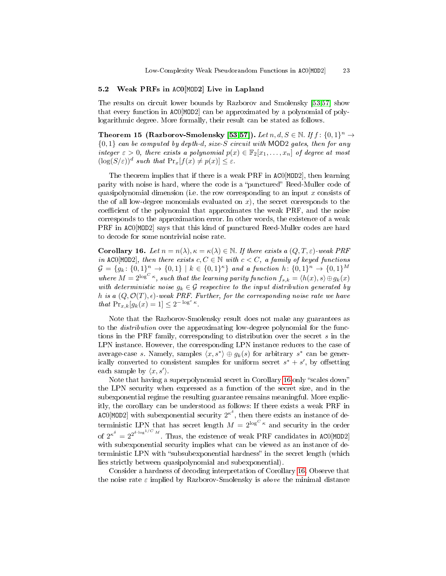## 5.2 Weak PRFs in AC0[MOD2] Live in Lapland

The results on circuit lower bounds by Razborov and Smolensky [\[53](#page-28-13)[,57\]](#page-28-14) show that every function in AC0[MOD2] can be approximated by a polynomial of polylogarithmic degree. More formally, their result can be stated as follows.

Theorem 15 (Razborov-Smolensky [\[53](#page-28-13)[,57\]](#page-28-14)). Let  $n, d, S \in \mathbb{N}$ . If  $f: \{0,1\}^n \to$  ${0,1}$  can be computed by depth-d, size-S circuit with MOD2 gates, then for any integer  $\varepsilon > 0$ , there exists a polynomial  $p(x) \in \mathbb{F}_2[x_1, \ldots, x_n]$  of degree at most  $(\log(S/\varepsilon))^d$  such that  $\Pr_x[f(x) \neq p(x)] \leq \varepsilon$ .

The theorem implies that if there is a weak PRF in AC0[MOD2], then learning parity with noise is hard, where the code is a "punctured" Reed-Muller code of quasipolynomial dimension (i.e. the row corresponding to an input  $x$  consists of the of all low-degree monomials evaluated on  $x$ ), the secret corresponds to the coefficient of the polynomial that approximates the weak PRF, and the noise corresponds to the approximation error. In other words, the existence of a weak PRF in AC0[MOD2] says that this kind of punctured Reed-Muller codes are hard to decode for some nontrivial noise rate.

<span id="page-22-0"></span>**Corollary 16.** Let  $n = n(\lambda), \kappa = \kappa(\lambda) \in \mathbb{N}$ . If there exists a  $(Q, T, \varepsilon)$ -weak PRF in ACO[MOD2], then there exists  $c, C \in \mathbb{N}$  with  $c < C$ , a family of keyed functions  $\mathcal{G} = \{g_k \colon \{0,1\}^n \to \{0,1\} \mid k \in \{0,1\}^\kappa\}$  and a function  $h \colon \{0,1\}^n \to \{0,1\}^M$ where  $M = 2^{\log^C \kappa}$ , such that the learning parity function  $f_{s,k} = \langle h(x), s \rangle \oplus g_k(x)$ with deterministic noise  $g_k \in \mathcal{G}$  respective to the input distribution generated by h is a  $(Q, \mathcal{O}(T), \epsilon)$ -weak PRF. Further, for the corresponding noise rate we have that  $Pr_{x,k}[g_k(x) = 1] \leq 2^{-\log^c \kappa}$ .

Note that the Razborov-Smolensky result does not make any guarantees as to the *distribution* over the approximating low-degree polynomial for the functions in the PRF family, corresponding to distribution over the secret s in the LPN instance. However, the corresponding LPN instance reduces to the case of average-case s. Namely, samples  $\langle x, s^* \rangle \oplus g_k(s)$  for arbitrary  $s^*$  can be generically converted to consistent samples for uniform secret  $s^* + s'$ , by offsetting each sample by  $\langle x, s' \rangle$ .

Note that having a superpolynomial secret in Corollary [16](#page-22-0) only "scales down" the LPN security when expressed as a function of the secret size, and in the subexponential regime the resulting guarantee remains meaningful. More explicitly, the corollary can be understood as follows: If there exists a weak PRF in ACO[MOD2] with subexponential security  $2^{\kappa^{\delta}}$ , then there exists an instance of deterministic LPN that has secret length  $M = 2^{\log^C \kappa}$  and security in the order of  $2^{\kappa^{\delta}} = 2^{2^{\delta \cdot \log^{1/C} M}}$ . Thus, the existence of weak PRF candidates in ACO[MOD2] with subexponential security implies what can be viewed as an instance of deterministic LPN with "subsubexponential hardness" in the secret length (which lies strictly between quasipolynomial and subexponential).

Consider a hardness of decoding interpretation of Corollary [16.](#page-22-0) Observe that the noise rate  $\varepsilon$  implied by Razborov-Smolensky is *above* the minimal distance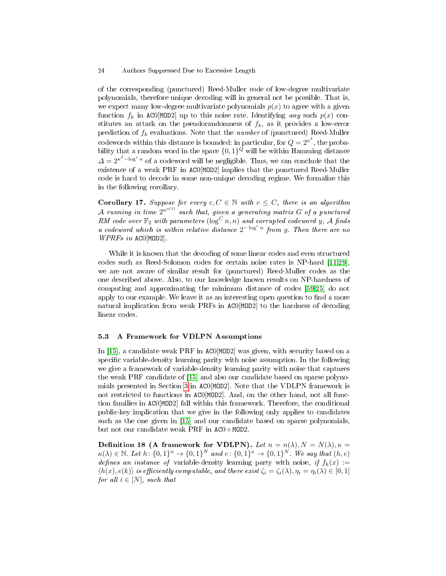of the corresponding (punctured) Reed-Muller code of low-degree multivariate polynomials, therefore unique decoding will in general not be possible. That is, we expect many low-degree multivariate polynomials  $p(x)$  to agree with a given function  $f_k$  in ACO[MOD2] up to this noise rate. Identifying any such  $p(x)$  constitutes an attack on the pseudorandomness of  $f_k$ , as it provides a low-error prediction of  $f_k$  evaluations. Note that the *number* of (punctured) Reed-Muller codewords within this distance is bounded: in particular, for  $Q=2^{\kappa^\delta},$  the probability that a random word in the space  $\{0,1\}^Q$  will be within Hamming distance  $\varDelta = 2^{\kappa^\delta-\log^c\kappa}$  of a codeword will be negligible. Thus, we can conclude that the existence of a weak PRF in AC0[MOD2] implies that the punctured Reed-Muller code is hard to decode in some non-unique decoding regime. We formalize this in the following corollary.

**Corollary 17.** Suppose for every  $c, C \in \mathbb{N}$  with  $c \leq C$ , there is an algorithm A running in time  $2^{n^{\circ (1)}}$  such that, given a generating matrix G of a punctured RM code over  $\mathbb{F}_2$  with parameters  $(\log^C n, n)$  and corrupted codeword y, A finds a codeword which is within relative distance  $2^{-\log^c n}$  from y. Then there are no WPRFs in AC0[MOD2].

While it is known that the decoding of some linear codes and even structured codes such as Reed-Solomon codes for certain noise rates is NP-hard [\[11](#page-26-19)[,29\]](#page-27-19), we are not aware of similar result for (punctured) Reed-Muller codes as the one described above. Also, to our knowledge known results on NP-hardness of computing and approximating the minimum distance of codes [\[59,](#page-28-20)[25\]](#page-27-20) do not apply to our example. We leave it as an interesting open question to find a more natural implication from weak PRFs in AC0[MOD2] to the hardness of decoding linear codes.

## 5.3 A Framework for VDLPN Assumptions

In [\[15\]](#page-26-4), a candidate weak PRF in AC0[MOD2] was given, with security based on a specific variable-density learning parity with noise assumption. In the following we give a framework of variable-density learning parity with noise that captures the weak PRF candidate of [\[15\]](#page-26-4) and also our candidate based on sparse polynomials presented in Section [3](#page-11-0) in AC0[MOD2]. Note that the VDLPN framework is not restricted to functions in AC0[MOD2]. And, on the other hand, not all function families in AC0[MOD2] fall within this framework. Therefore, the conditional public-key implication that we give in the following only applies to candidates such as the one given in [\[15\]](#page-26-4) and our candidate based on sparse polynomials, but not our candidate weak PRF in AC0 ◦ MOD2.

Definition 18 (A framework for VDLPN). Let  $n = n(\lambda)$ ,  $N = N(\lambda)$ ,  $\kappa =$  $\kappa(\lambda) \in \mathbb{N}$ . Let  $h: \{0,1\}^n \to \{0,1\}^N$  and  $e: \{0,1\}^{\kappa} \to \{0,1\}^N$ . We say that  $(h, e)$ defines an instance of variable-density learning party with noise, if  $f_k(x) :=$  $\langle h(x), e(k) \rangle$  is efficiently computable, and there exist  $\zeta_i = \zeta_i(\lambda), \eta_i = \eta_i(\lambda) \in [0, 1]$ for all  $i \in [N]$ , such that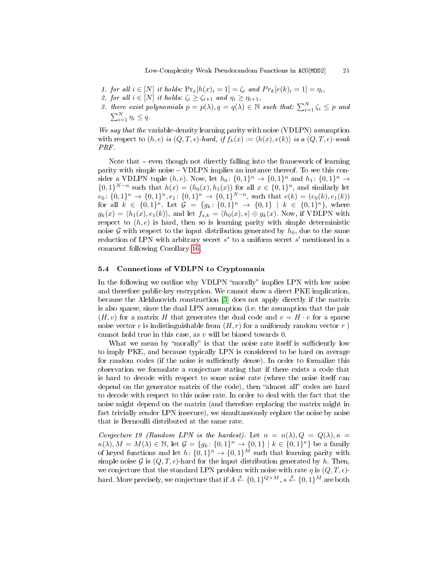- 1. for all  $i \in [N]$  it holds:  $Pr_x[h(x)_i = 1] = \zeta_i$  and  $Pr_k[e(k)_i = 1] = \eta_i$ ,
- 2. for all  $i \in [N]$  it holds:  $\zeta_i \geq \zeta_{i+1}$  and  $\eta_i \geq \eta_{i+1}$ ,
- 3. there exist polynomials  $p = p(\lambda), q = q(\lambda) \in \mathbb{N}$  such that:  $\sum_{i=1}^{N} \zeta_i \leq p$  and  $\sum_{i=1}^{N} \eta_i \leq q.$

We say that the variable-density learning parity with noise (VDLPN) assumption with respect to  $(h, e)$  is  $(Q, T, \epsilon)$ -hard, if  $f_k(x) := \langle h(x), e(k) \rangle$  is a  $(Q, T, \epsilon)$ -weak PRF.

Note that  $-$  even though not directly falling into the framework of learning parity with simple noise VDLPN implies an instance thereof. To see this consider a VDLPN tuple  $(h, e)$ . Now, let  $h_0: \{0, 1\}^n \to \{0, 1\}^n$  and  $h_1: \{0, 1\}^n \to$  $\{0,1\}^{N-n}$  such that  $h(x) = (h_0(x), h_1(x))$  for all  $x \in \{0,1\}^n$ , and similarly let  $e_0: \{0,1\}^{\kappa} \to \{0,1\}^n, e_1: \{0,1\}^{\kappa} \to \{0,1\}^{N-n}$ , such that  $e(k) = (e_0(k), e_1(k))$ for all  $k \in \{0,1\}^{\kappa}$ . Let  $\mathcal{G} = \{g_k: \{0,1\}^n \to \{0,1\} \mid k \in \{0,1\}^{\kappa}\}$ , where  $g_k(x) = \langle h_1(x), e_1(k) \rangle$ , and let  $f_{s,k} = \langle h_0(x), s \rangle \oplus g_k(x)$ . Now, if VDLPN with respect to  $(h, e)$  is hard, then so is learning parity with simple deterministic noise G with respect to the input distribution generated by  $h_0$ , due to the same reduction of LPN with arbitrary secret  $s^*$  to a uniform secret  $s'$  mentioned in a comment following Corollary [16.](#page-22-0)

## 5.4 Connections of VDLPN to Cryptomania

In the following we outline why VDLPN "morally" implies LPN with low noise and therefore public-key encryption. We cannot show a direct PKE implication, because the Alekhnovich construction [\[3\]](#page-26-15) does not apply directly if the matrix is also sparse, since the dual LPN assumption (i.e. the assumption that the pair  $(H, v)$  for a matrix H that generates the dual code and  $v = H \cdot e$  for a sparse noise vector e is indistinguishable from  $(H, r)$  for a uniformly random vector r ) cannot hold true in this case, as v will be biased towards 0.

What we mean by "morally" is that the noise rate itself is sufficiently low to imply PKE, and because typically LPN is considered to be hard on average for random codes (if the noise is sufficiently dense). In order to formalize this observation we formulate a conjecture stating that if there exists a code that is hard to decode with respect to some noise rate (where the noise itself can depend on the generator matrix of the code), then "almost all" codes are hard to decode with respect to this noise rate. In order to deal with the fact that the noise might depend on the matrix (and therefore replacing the matrix might in fact trivially render LPN insecure), we simultaneously replace the noise by noise that is Bernoulli distributed at the same rate.

<span id="page-24-0"></span>Conjecture 19 (Random LPN is the hardest). Let  $n = n(\lambda), Q = Q(\lambda), \kappa =$  $\kappa(\lambda), M = M(\lambda) \in \mathbb{N}$ , let  $\mathcal{G} = \{g_k : \{0,1\}^n \to \{0,1\} \mid k \in \{0,1\}^{\kappa}\}\)$  be a family of keyed functions and let  $h: \{0,1\}^n \to \{0,1\}^M$  such that learning parity with simple noise G is  $(Q, T, \epsilon)$ -hard for the input distribution generated by h. Then, we conjecture that the standard LPN problem with noise with rate  $\eta$  is  $(Q, T, \epsilon)$ hard. More precisely, we conjecture that if  $A\overset{\hspace{0.1em}\mathsf{\scriptscriptstyle\$}}{\leftarrow}\{0,1\}^{Q\times M}, s\overset{\hspace{0.1em}\mathsf{\scriptscriptstyle\$}}{\leftarrow}\{0,1\}^M$  are both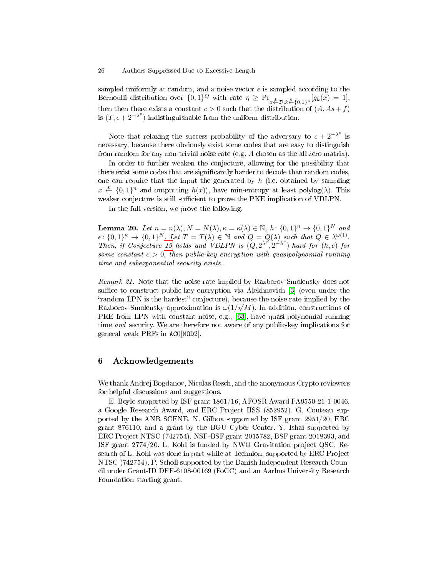sampled uniformly at random, and a noise vector  $e$  is sampled according to the Bernoulli distribution over  $\{0,1\}^Q$  with rate  $\eta \geq \Pr_{x \leftarrow \mathcal{D}, k \leftarrow \{0,1\}^{\kappa}}[g_k(x) = 1],$ then then there exists a constant  $c > 0$  such that the distribution of  $(A, As + f)$ is  $(T, \epsilon + 2^{-\lambda^c})$ -indistinguishable from the uniform distribution.

Note that relaxing the success probability of the adversary to  $\epsilon + 2^{-\lambda^c}$  is necessary, because there obviously exist some codes that are easy to distinguish from random for any non-trivial noise rate (e.g.  $A$  chosen as the all zero matrix).

In order to further weaken the conjecture, allowing for the possibility that there exist some codes that are significantly harder to decode than random codes, one can require that the input the generated by  $h$  (i.e. obtained by sampling  $x \stackrel{\hspace{0.1em}\mathsf{\scriptscriptstyle\$}}{\leftarrow} \{0,1\}^n$  and outputting  $h(x)$ ), have min-entropy at least polylog( $\lambda$ ). This weaker conjecture is still sufficient to prove the PKE implication of VDLPN.

In the full version, we prove the following.

**Lemma 20.** Let  $n = n(\lambda), N = N(\lambda), \kappa = \kappa(\lambda) \in \mathbb{N}, h: \{0, 1\}^n \to \{0, 1\}^N$  and  $e: \{0,1\}^{\kappa} \to \{0,1\}^N$ . Let  $T = T(\lambda) \in \mathbb{N}$  and  $Q = Q(\lambda)$  such that  $Q \in \lambda^{\omega(1)}$ . Then, if Conjecture [19](#page-24-0) holds and VDLPN is  $(Q, 2^{\lambda^c}, 2^{-\lambda^c})$ -hard for  $(h, e)$  for some constant  $c > 0$ , then public-key encryption with quasipolynomial running time and subexponential security exists.

Remark 21. Note that the noise rate implied by Razborov-Smolensky does not suffice to construct public-key encryption via Alekhnovich [\[3\]](#page-26-15) (even under the "random LPN is the hardest" conjecture), because the noise rate implied by the Razborov-Smolensky approximation is  $\omega(1/\sqrt{M})$ . In addition, constructions of PKE from LPN with constant noise, e.g., [\[63\]](#page-28-21), have quasi-polynomial running time and security. We are therefore not aware of any public-key implications for general weak PRFs in AC0[MOD2].

# 6 Acknowledgements

We thank Andrej Bogdanov, Nicolas Resch, and the anonymous Crypto reviewers for helpful discussions and suggestions.

E. Boyle supported by ISF grant 1861/16, AFOSR Award FA9550-21-1-0046, a Google Research Award, and ERC Project HSS (852952). G. Couteau supported by the ANR SCENE. N. Gilboa supported by ISF grant 2951/20, ERC grant 876110, and a grant by the BGU Cyber Center. Y. Ishai supported by ERC Project NTSC (742754), NSF-BSF grant 2015782, BSF grant 2018393, and ISF grant 2774/20. L. Kohl is funded by NWO Gravitation project QSC. Research of L. Kohl was done in part while at Technion, supported by ERC Project NTSC (742754). P. Scholl supported by the Danish Independent Research Council under Grant-ID DFF-6108-00169 (FoCC) and an Aarhus University Research Foundation starting grant.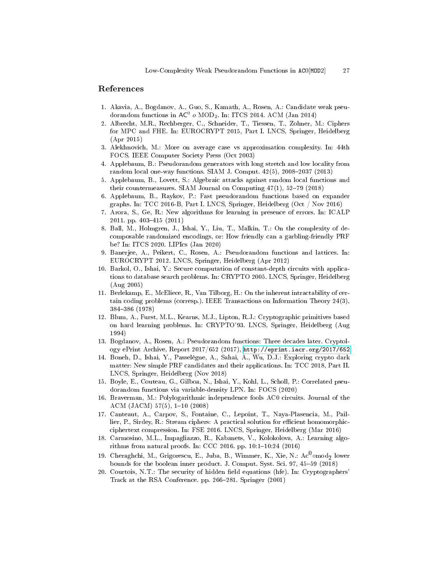# References

- <span id="page-26-7"></span>1. Akavia, A., Bogdanov, A., Guo, S., Kamath, A., Rosen, A.: Candidate weak pseudorandom functions in  $AC^0$   $o$  MOD<sub>2</sub>. In: ITCS 2014. ACM (Jan 2014)
- <span id="page-26-0"></span>2. Albrecht, M.R., Rechberger, C., Schneider, T., Tiessen, T., Zohner, M.: Ciphers for MPC and FHE. In: EUROCRYPT 2015, Part I. LNCS, Springer, Heidelberg (Apr 2015)
- <span id="page-26-15"></span>3. Alekhnovich, M.: More on average case vs approximation complexity. In: 44th FOCS. IEEE Computer Society Press (Oct 2003)
- <span id="page-26-9"></span>4. Applebaum, B.: Pseudorandom generators with long stretch and low locality from random local one-way functions. SIAM J. Comput.  $42(5)$ ,  $2008-2037$  (2013)
- <span id="page-26-18"></span>5. Applebaum, B., Lovett, S.: Algebraic attacks against random local functions and their countermeasures. SIAM Journal on Computing  $47(1)$ , 52-79 (2018)
- <span id="page-26-8"></span>6. Applebaum, B., Raykov, P.: Fast pseudorandom functions based on expander graphs. In: TCC 2016-B, Part I. LNCS, Springer, Heidelberg (Oct / Nov 2016)
- <span id="page-26-13"></span>7. Arora, S., Ge, R.: New algorithms for learning in presence of errors. In: ICALP 2011. pp. 403-415 (2011)
- <span id="page-26-3"></span>8. Ball, M., Holmgren, J., Ishai, Y., Liu, T., Malkin, T.: On the complexity of decomposable randomized encodings, or: How friendly can a garbling-friendly PRF be? In: ITCS 2020. LIPIcs (Jan 2020)
- <span id="page-26-6"></span>9. Banerjee, A., Peikert, C., Rosen, A.: Pseudorandom functions and lattices. In: EUROCRYPT 2012. LNCS, Springer, Heidelberg (Apr 2012)
- <span id="page-26-14"></span>10. Barkol, O., Ishai, Y.: Secure computation of constant-depth circuits with applications to database search problems. In: CRYPTO 2005. LNCS, Springer, Heidelberg (Aug 2005)
- <span id="page-26-19"></span>11. Berlekamp, E., McEliece, R., Van Tilborg, H.: On the inherent intractability of certain coding problems (corresp.). IEEE Transactions on Information Theory 24(3), 384386 (1978)
- <span id="page-26-11"></span>12. Blum, A., Furst, M.L., Kearns, M.J., Lipton, R.J.: Cryptographic primitives based on hard learning problems. In: CRYPTO'93. LNCS, Springer, Heidelberg (Aug 1994)
- <span id="page-26-10"></span>13. Bogdanov, A., Rosen, A.: Pseudorandom functions: Three decades later. Cryptology ePrint Archive, Report 2017/652 (2017), <http://eprint.iacr.org/2017/652>
- <span id="page-26-2"></span>14. Boneh, D., Ishai, Y., Passelègue, A., Sahai, A., Wu, D.J.: Exploring crypto dark matter: New simple PRF candidates and their applications. In: TCC 2018, Part II. LNCS, Springer, Heidelberg (Nov 2018)
- <span id="page-26-4"></span>15. Boyle, E., Couteau, G., Gilboa, N., Ishai, Y., Kohl, L., Scholl, P.: Correlated pseudorandom functions via variable-density LPN. In: FOCS (2020)
- <span id="page-26-5"></span>16. Braverman, M.: Polylogarithmic independence fools AC0 circuits. Journal of the ACM (JACM)  $57(5)$ ,  $1-10$  (2008)
- <span id="page-26-1"></span>17. Canteaut, A., Carpov, S., Fontaine, C., Lepoint, T., Naya-Plasencia, M., Paillier, P., Sirdey, R.: Stream ciphers: A practical solution for efficient homomorphicciphertext compression. In: FSE 2016. LNCS, Springer, Heidelberg (Mar 2016)
- <span id="page-26-12"></span>18. Carmosino, M.L., Impagliazzo, R., Kabanets, V., Kolokolova, A.: Learning algorithms from natural proofs. In: CCC 2016. pp.  $10:1-10:24$  (2016)
- <span id="page-26-16"></span>19. Cheraghchi, M., Grigorescu, E., Juba, B., Wimmer, K., Xie, N.:  $\mathrm{Ac}^0$ omod $_2$  lower bounds for the boolean inner product. J. Comput. Syst. Sci. 97, 45-59 (2018)
- <span id="page-26-17"></span>20. Courtois, N.T.: The security of hidden eld equations (hfe). In: Cryptographers' Track at the RSA Conference. pp. 266–281. Springer (2001)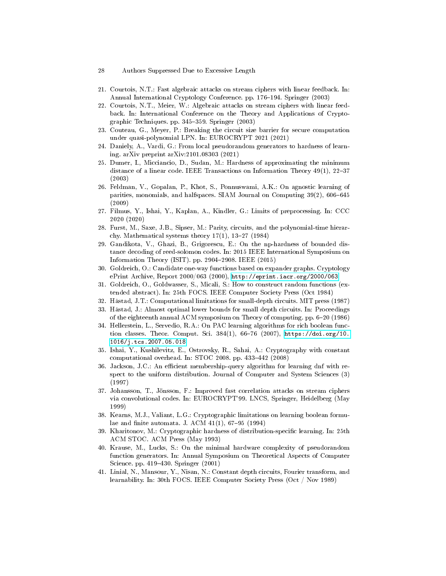- 28 Authors Suppressed Due to Excessive Length
- <span id="page-27-15"></span>21. Courtois, N.T.: Fast algebraic attacks on stream ciphers with linear feedback. In: Annual International Cryptology Conference. pp. 176–194. Springer (2003)
- <span id="page-27-14"></span>22. Courtois, N.T., Meier, W.: Algebraic attacks on stream ciphers with linear feedback. In: International Conference on the Theory and Applications of Cryptographic Techniques. pp. 345359. Springer (2003)
- <span id="page-27-13"></span>23. Couteau, G., Meyer, P.: Breaking the circuit size barrier for secure computation under quasi-polynomial LPN. In: EUROCRYPT 2021 (2021)
- <span id="page-27-6"></span>24. Daniely, A., Vardi, G.: From local pseudorandom generators to hardness of learning. arXiv preprint arXiv:2101.08303 (2021)
- <span id="page-27-20"></span>25. Dumer, I., Micciancio, D., Sudan, M.: Hardness of approximating the minimum distance of a linear code. IEEE Transactions on Information Theory  $49(1)$ ,  $22-37$ (2003)
- <span id="page-27-18"></span>26. Feldman, V., Gopalan, P., Khot, S., Ponnuswami, A.K.: On agnostic learning of parities, monomials, and halfspaces. SIAM Journal on Computing 39(2), 606-645 (2009)
- <span id="page-27-12"></span>27. Filmus, Y., Ishai, Y., Kaplan, A., Kindler, G.: Limits of preprocessing. In: CCC 2020 (2020)
- <span id="page-27-2"></span>28. Furst, M., Saxe, J.B., Sipser, M.: Parity, circuits, and the polynomial-time hierarchy. Mathematical systems theory  $17(1)$ ,  $13-27$  (1984)
- <span id="page-27-19"></span>29. Gandikota, V., Ghazi, B., Grigorescu, E.: On the np-hardness of bounded distance decoding of reed-solomon codes. In: 2015 IEEE International Symposium on Information Theory (ISIT). pp. 2904-2908. IEEE (2015)
- <span id="page-27-7"></span>30. Goldreich, O.: Candidate one-way functions based on expander graphs. Cryptology ePrint Archive, Report 2000/063 (2000), <http://eprint.iacr.org/2000/063>
- <span id="page-27-0"></span>31. Goldreich, O., Goldwasser, S., Micali, S.: How to construct random functions (extended abstract). In: 25th FOCS. IEEE Computer Society Press (Oct 1984)
- <span id="page-27-3"></span>32. Håstad, J.T.: Computational limitations for small-depth circuits. MIT press (1987)
- <span id="page-27-16"></span>33. Håstad, J.: Almost optimal lower bounds for small depth circuits. In: Proceedings of the eighteenth annual ACM symposium on Theory of computing. pp. 620 (1986)
- <span id="page-27-5"></span>34. Hellerstein, L., Servedio, R.A.: On PAC learning algorithms for rich boolean function classes. Theor. Comput. Sci.  $384(1)$ ,  $66-76$  (2007), [https://doi.org/10.](https://doi.org/10.1016/j.tcs.2007.05.018) [1016/j.tcs.2007.05.018](https://doi.org/10.1016/j.tcs.2007.05.018)
- <span id="page-27-8"></span>35. Ishai, Y., Kushilevitz, E., Ostrovsky, R., Sahai, A.: Cryptography with constant computational overhead. In:  $STOC$  2008. pp. 433-442 (2008)
- <span id="page-27-11"></span>36. Jackson, J.C.: An efficient membership-query algorithm for learning dnf with respect to the uniform distribution. Journal of Computer and System Sciences (3) (1997)
- <span id="page-27-17"></span>37. Johansson, T., Jönsson, F.: Improved fast correlation attacks on stream ciphers via convolutional codes. In: EUROCRYPT'99. LNCS, Springer, Heidelberg (May 1999)
- <span id="page-27-1"></span>38. Kearns, M.J., Valiant, L.G.: Cryptographic limitations on learning boolean formulae and finite automata. J. ACM  $41(1)$ , 67-95 (1994)
- <span id="page-27-9"></span>39. Kharitonov, M.: Cryptographic hardness of distribution-specific learning. In: 25th ACM STOC. ACM Press (May 1993)
- <span id="page-27-10"></span>40. Krause, M., Lucks, S.: On the minimal hardware complexity of pseudorandom function generators. In: Annual Symposium on Theoretical Aspects of Computer Science. pp. 419-430. Springer (2001)
- <span id="page-27-4"></span>41. Linial, N., Mansour, Y., Nisan, N.: Constant depth circuits, Fourier transform, and learnability. In: 30th FOCS. IEEE Computer Society Press (Oct / Nov 1989)